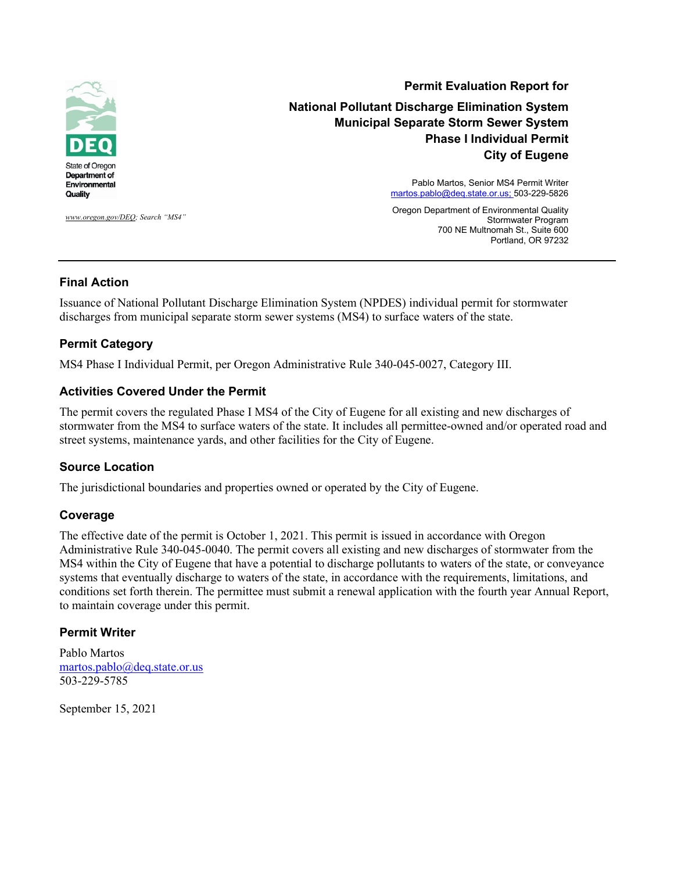

*[www.oregon.gov/DEQ;](http://www.oregon.gov/DEQ) Search "MS4"*

**Permit Evaluation Report for National Pollutant Discharge Elimination System Municipal Separate Storm Sewer System Phase I Individual Permit City of Eugene**

> Pablo Martos, Senior MS4 Permit Writer [martos.pablo@deq.state.or.us;](mailto:pablo.martos@deq.state.or.us) 503-229-5826

> Oregon Department of Environmental Quality Stormwater Program 700 NE Multnomah St., Suite 600 Portland, OR 97232

#### **Final Action**

Issuance of National Pollutant Discharge Elimination System (NPDES) individual permit for stormwater discharges from municipal separate storm sewer systems (MS4) to surface waters of the state.

#### **Permit Category**

MS4 Phase I Individual Permit, per Oregon Administrative Rule 340-045-0027, Category III.

#### **Activities Covered Under the Permit**

The permit covers the regulated Phase I MS4 of the City of Eugene for all existing and new discharges of stormwater from the MS4 to surface waters of the state. It includes all permittee-owned and/or operated road and street systems, maintenance yards, and other facilities for the City of Eugene.

#### **Source Location**

The jurisdictional boundaries and properties owned or operated by the City of Eugene.

#### **Coverage**

The effective date of the permit is October 1, 2021. This permit is issued in accordance with Oregon Administrative Rule 340-045-0040. The permit covers all existing and new discharges of stormwater from the MS4 within the City of Eugene that have a potential to discharge pollutants to waters of the state, or conveyance systems that eventually discharge to waters of the state, in accordance with the requirements, limitations, and conditions set forth therein. The permittee must submit a renewal application with the fourth year Annual Report, to maintain coverage under this permit.

#### **Permit Writer**

Pablo Martos [martos.pablo@deq.state.or.us](mailto:martos.pablo@deq.state.or.us)  503-229-5785

September 15, 2021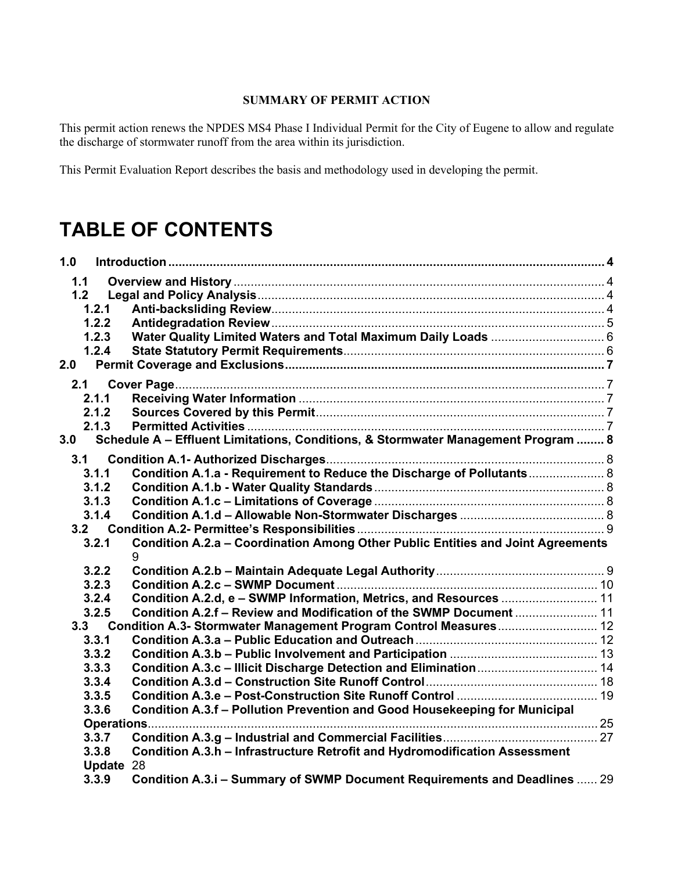#### **SUMMARY OF PERMIT ACTION**

This permit action renews the NPDES MS4 Phase I Individual Permit for the City of Eugene to allow and regulate the discharge of stormwater runoff from the area within its jurisdiction.

This Permit Evaluation Report describes the basis and methodology used in developing the permit.

# **TABLE OF CONTENTS**

| 1.0       |                                                                                   |  |
|-----------|-----------------------------------------------------------------------------------|--|
| 1.1       |                                                                                   |  |
| 1.2       |                                                                                   |  |
| 1.2.1     |                                                                                   |  |
| 1.2.2     |                                                                                   |  |
| 1.2.3     |                                                                                   |  |
| 1.2.4     |                                                                                   |  |
| 2.0       |                                                                                   |  |
| 2.1       |                                                                                   |  |
| 2.1.1     |                                                                                   |  |
| 2.1.2     |                                                                                   |  |
| 2.1.3     |                                                                                   |  |
| 3.0       | Schedule A - Effluent Limitations, Conditions, & Stormwater Management Program  8 |  |
| 3.1       |                                                                                   |  |
| 3.1.1     | Condition A.1.a - Requirement to Reduce the Discharge of Pollutants 8             |  |
| 3.1.2     |                                                                                   |  |
| 3.1.3     |                                                                                   |  |
| 3.1.4     |                                                                                   |  |
| 3.2       |                                                                                   |  |
| 3.2.1     | Condition A.2.a - Coordination Among Other Public Entities and Joint Agreements   |  |
|           | 9                                                                                 |  |
| 3.2.2     |                                                                                   |  |
| 3.2.3     |                                                                                   |  |
| 3.2.4     | Condition A.2.d, e - SWMP Information, Metrics, and Resources  11                 |  |
| 3.2.5     | Condition A.2.f - Review and Modification of the SWMP Document  11                |  |
| 3.3       | Condition A.3- Stormwater Management Program Control Measures 12                  |  |
| 3.3.1     |                                                                                   |  |
| 3.3.2     |                                                                                   |  |
| 3.3.3     | Condition A.3.c - Illicit Discharge Detection and Elimination  14                 |  |
| 3.3.4     |                                                                                   |  |
| 3.3.5     |                                                                                   |  |
| 3.3.6     | Condition A.3.f - Pollution Prevention and Good Housekeeping for Municipal        |  |
|           |                                                                                   |  |
| 3.3.7     |                                                                                   |  |
| 3.3.8     | Condition A.3.h - Infrastructure Retrofit and Hydromodification Assessment        |  |
| Update 28 |                                                                                   |  |
| 3.3.9     | Condition A.3.i - Summary of SWMP Document Requirements and Deadlines  29         |  |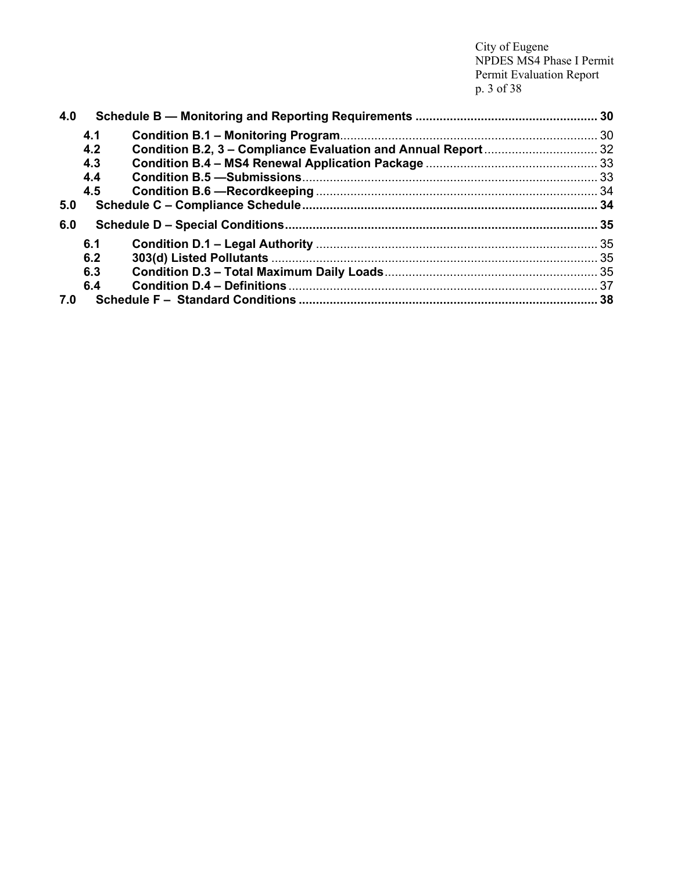City of Eugene NPDES MS4 Phase I Permit Permit Evaluation Report p. 3 of 38

| 4.0 |     |  |  |
|-----|-----|--|--|
|     | 4.1 |  |  |
|     | 4.2 |  |  |
|     | 4.3 |  |  |
|     | 4.4 |  |  |
|     | 4.5 |  |  |
| 5.0 |     |  |  |
| 6.0 |     |  |  |
|     | 6.1 |  |  |
|     | 6.2 |  |  |
|     | 6.3 |  |  |
|     | 6.4 |  |  |
| 7.0 |     |  |  |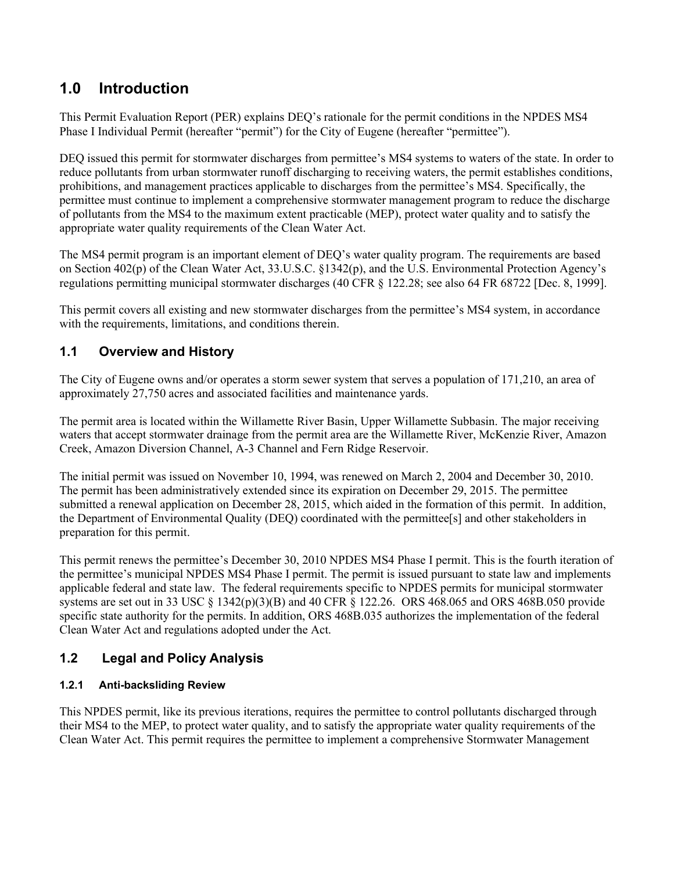## <span id="page-3-0"></span>**1.0 Introduction**

This Permit Evaluation Report (PER) explains DEQ's rationale for the permit conditions in the NPDES MS4 Phase I Individual Permit (hereafter "permit") for the City of Eugene (hereafter "permittee").

DEQ issued this permit for stormwater discharges from permittee's MS4 systems to waters of the state. In order to reduce pollutants from urban stormwater runoff discharging to receiving waters, the permit establishes conditions, prohibitions, and management practices applicable to discharges from the permittee's MS4. Specifically, the permittee must continue to implement a comprehensive stormwater management program to reduce the discharge of pollutants from the MS4 to the maximum extent practicable (MEP), protect water quality and to satisfy the appropriate water quality requirements of the Clean Water Act.

The MS4 permit program is an important element of DEQ's water quality program. The requirements are based on Section 402(p) of the Clean Water Act, 33.U.S.C. §1342(p), and the U.S. Environmental Protection Agency's regulations permitting municipal stormwater discharges (40 CFR § 122.28; see also 64 FR 68722 [Dec. 8, 1999].

This permit covers all existing and new stormwater discharges from the permittee's MS4 system, in accordance with the requirements, limitations, and conditions therein.

## <span id="page-3-1"></span>**1.1 Overview and History**

The City of Eugene owns and/or operates a storm sewer system that serves a population of 171,210, an area of approximately 27,750 acres and associated facilities and maintenance yards.

The permit area is located within the Willamette River Basin, Upper Willamette Subbasin. The major receiving waters that accept stormwater drainage from the permit area are the Willamette River, McKenzie River, Amazon Creek, Amazon Diversion Channel, A-3 Channel and Fern Ridge Reservoir.

The initial permit was issued on November 10, 1994, was renewed on March 2, 2004 and December 30, 2010. The permit has been administratively extended since its expiration on December 29, 2015. The permittee submitted a renewal application on December 28, 2015, which aided in the formation of this permit. In addition, the Department of Environmental Quality (DEQ) coordinated with the permittee[s] and other stakeholders in preparation for this permit.

This permit renews the permittee's December 30, 2010 NPDES MS4 Phase I permit. This is the fourth iteration of the permittee's municipal NPDES MS4 Phase I permit. The permit is issued pursuant to state law and implements applicable federal and state law. The federal requirements specific to NPDES permits for municipal stormwater systems are set out in 33 USC § 1342(p)(3)(B) and 40 CFR § 122.26. ORS 468.065 and ORS 468B.050 provide specific state authority for the permits. In addition, ORS 468B.035 authorizes the implementation of the federal Clean Water Act and regulations adopted under the Act.

## <span id="page-3-2"></span>**1.2 Legal and Policy Analysis**

### <span id="page-3-3"></span>**1.2.1 Anti-backsliding Review**

This NPDES permit, like its previous iterations, requires the permittee to control pollutants discharged through their MS4 to the MEP, to protect water quality, and to satisfy the appropriate water quality requirements of the Clean Water Act. This permit requires the permittee to implement a comprehensive Stormwater Management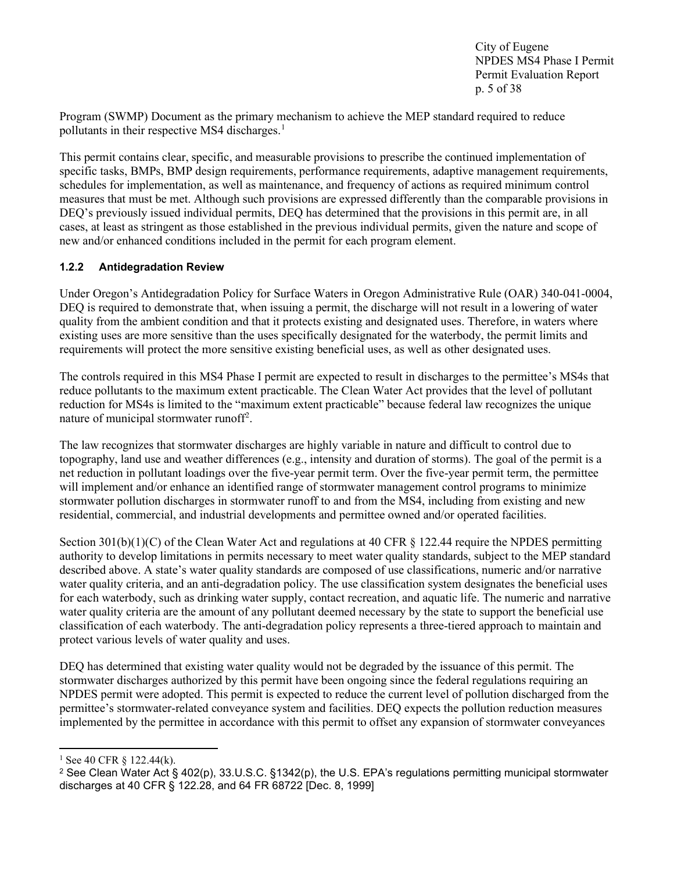City of Eugene NPDES MS4 Phase I Permit Permit Evaluation Report p. 5 of 38

Program (SWMP) Document as the primary mechanism to achieve the MEP standard required to reduce pollutants in their respective MS4 discharges.<sup>[1](#page-4-1)</sup>

This permit contains clear, specific, and measurable provisions to prescribe the continued implementation of specific tasks, BMPs, BMP design requirements, performance requirements, adaptive management requirements, schedules for implementation, as well as maintenance, and frequency of actions as required minimum control measures that must be met. Although such provisions are expressed differently than the comparable provisions in DEQ's previously issued individual permits, DEQ has determined that the provisions in this permit are, in all cases, at least as stringent as those established in the previous individual permits, given the nature and scope of new and/or enhanced conditions included in the permit for each program element.

#### <span id="page-4-0"></span>**1.2.2 Antidegradation Review**

Under Oregon's Antidegradation Policy for Surface Waters in Oregon Administrative Rule (OAR) 340-041-0004, DEQ is required to demonstrate that, when issuing a permit, the discharge will not result in a lowering of water quality from the ambient condition and that it protects existing and designated uses. Therefore, in waters where existing uses are more sensitive than the uses specifically designated for the waterbody, the permit limits and requirements will protect the more sensitive existing beneficial uses, as well as other designated uses.

The controls required in this MS4 Phase I permit are expected to result in discharges to the permittee's MS4s that reduce pollutants to the maximum extent practicable. The Clean Water Act provides that the level of pollutant reduction for MS4s is limited to the "maximum extent practicable" because federal law recognizes the unique nature of municipal stormwater runoff<sup>[2](#page-4-2)</sup>.

The law recognizes that stormwater discharges are highly variable in nature and difficult to control due to topography, land use and weather differences (e.g., intensity and duration of storms). The goal of the permit is a net reduction in pollutant loadings over the five-year permit term. Over the five-year permit term, the permittee will implement and/or enhance an identified range of stormwater management control programs to minimize stormwater pollution discharges in stormwater runoff to and from the MS4, including from existing and new residential, commercial, and industrial developments and permittee owned and/or operated facilities.

Section 301(b)(1)(C) of the Clean Water Act and regulations at 40 CFR § 122.44 require the NPDES permitting authority to develop limitations in permits necessary to meet water quality standards, subject to the MEP standard described above. A state's water quality standards are composed of use classifications, numeric and/or narrative water quality criteria, and an anti-degradation policy. The use classification system designates the beneficial uses for each waterbody, such as drinking water supply, contact recreation, and aquatic life. The numeric and narrative water quality criteria are the amount of any pollutant deemed necessary by the state to support the beneficial use classification of each waterbody. The anti-degradation policy represents a three-tiered approach to maintain and protect various levels of water quality and uses.

DEQ has determined that existing water quality would not be degraded by the issuance of this permit. The stormwater discharges authorized by this permit have been ongoing since the federal regulations requiring an NPDES permit were adopted. This permit is expected to reduce the current level of pollution discharged from the permittee's stormwater-related conveyance system and facilities. DEQ expects the pollution reduction measures implemented by the permittee in accordance with this permit to offset any expansion of stormwater conveyances

<span id="page-4-1"></span> $1$  See 40 CFR  $\delta$  122.44(k).

<span id="page-4-2"></span><sup>2</sup> See Clean Water Act § 402(p), 33.U.S.C. §1342(p), the U.S. EPA's regulations permitting municipal stormwater discharges at 40 CFR § 122.28, and 64 FR 68722 [Dec. 8, 1999]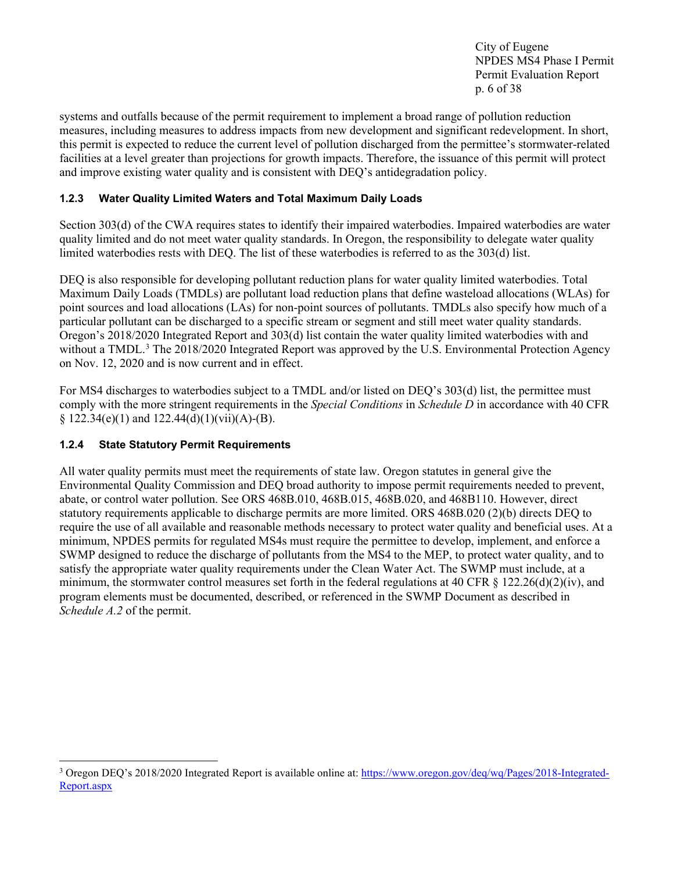City of Eugene NPDES MS4 Phase I Permit Permit Evaluation Report p. 6 of 38

systems and outfalls because of the permit requirement to implement a broad range of pollution reduction measures, including measures to address impacts from new development and significant redevelopment. In short, this permit is expected to reduce the current level of pollution discharged from the permittee's stormwater-related facilities at a level greater than projections for growth impacts. Therefore, the issuance of this permit will protect and improve existing water quality and is consistent with DEQ's antidegradation policy.

#### <span id="page-5-0"></span>**1.2.3 Water Quality Limited Waters and Total Maximum Daily Loads**

Section 303(d) of the CWA requires states to identify their impaired waterbodies. Impaired waterbodies are water quality limited and do not meet water quality standards. In Oregon, the responsibility to delegate water quality limited waterbodies rests with DEQ. The list of these waterbodies is referred to as the 303(d) list.

DEQ is also responsible for developing pollutant reduction plans for water quality limited waterbodies. Total Maximum Daily Loads (TMDLs) are pollutant load reduction plans that define wasteload allocations (WLAs) for point sources and load allocations (LAs) for non-point sources of pollutants. TMDLs also specify how much of a particular pollutant can be discharged to a specific stream or segment and still meet water quality standards. Oregon's 2018/2020 Integrated Report and 303(d) list contain the water quality limited waterbodies with and without a TMDL.<sup>3</sup> The 2018/2020 Integrated Report was approved by the U.S. Environmental Protection Agency on Nov. 12, 2020 and is now current and in effect.

For MS4 discharges to waterbodies subject to a TMDL and/or listed on DEQ's 303(d) list, the permittee must comply with the more stringent requirements in the *Special Conditions* in *Schedule D* in accordance with 40 CFR §  $122.34(e)(1)$  and  $122.44(d)(1)(vii)(A)-(B)$ .

#### <span id="page-5-1"></span>**1.2.4 State Statutory Permit Requirements**

All water quality permits must meet the requirements of state law. Oregon statutes in general give the Environmental Quality Commission and DEQ broad authority to impose permit requirements needed to prevent, abate, or control water pollution. See ORS 468B.010, 468B.015, 468B.020, and 468B110. However, direct statutory requirements applicable to discharge permits are more limited. ORS 468B.020 (2)(b) directs DEQ to require the use of all available and reasonable methods necessary to protect water quality and beneficial uses. At a minimum, NPDES permits for regulated MS4s must require the permittee to develop, implement, and enforce a SWMP designed to reduce the discharge of pollutants from the MS4 to the MEP, to protect water quality, and to satisfy the appropriate water quality requirements under the Clean Water Act. The SWMP must include, at a minimum, the stormwater control measures set forth in the federal regulations at 40 CFR  $\S$  122.26(d)(2)(iv), and program elements must be documented, described, or referenced in the SWMP Document as described in *Schedule A.2* of the permit.

<span id="page-5-2"></span><sup>&</sup>lt;sup>3</sup> Oregon DEQ's 2018/2020 Integrated Report is available online at: [https://www.oregon.gov/deq/wq/Pages/2018-Integrated-](https://www.oregon.gov/deq/wq/Pages/2018-Integrated-Report.aspx)[Report.aspx](https://www.oregon.gov/deq/wq/Pages/2018-Integrated-Report.aspx)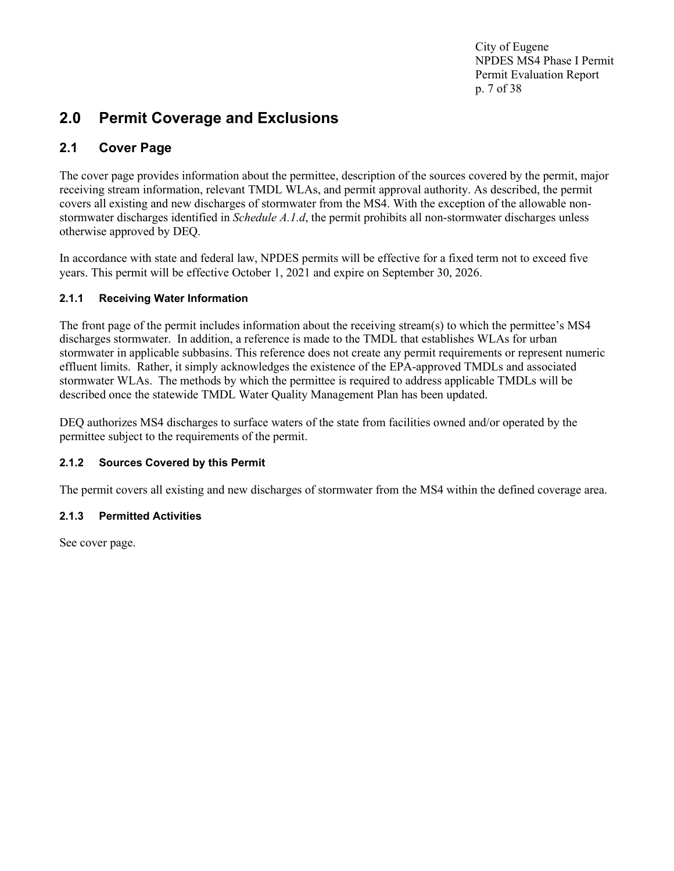City of Eugene NPDES MS4 Phase I Permit Permit Evaluation Report p. 7 of 38

## <span id="page-6-0"></span>**2.0 Permit Coverage and Exclusions**

## <span id="page-6-1"></span>**2.1 Cover Page**

The cover page provides information about the permittee, description of the sources covered by the permit, major receiving stream information, relevant TMDL WLAs, and permit approval authority. As described, the permit covers all existing and new discharges of stormwater from the MS4. With the exception of the allowable nonstormwater discharges identified in *Schedule A.1.d*, the permit prohibits all non-stormwater discharges unless otherwise approved by DEQ.

In accordance with state and federal law, NPDES permits will be effective for a fixed term not to exceed five years. This permit will be effective October 1, 2021 and expire on September 30, 2026.

#### <span id="page-6-2"></span>**2.1.1 Receiving Water Information**

The front page of the permit includes information about the receiving stream(s) to which the permittee's MS4 discharges stormwater. In addition, a reference is made to the TMDL that establishes WLAs for urban stormwater in applicable subbasins. This reference does not create any permit requirements or represent numeric effluent limits. Rather, it simply acknowledges the existence of the EPA-approved TMDLs and associated stormwater WLAs. The methods by which the permittee is required to address applicable TMDLs will be described once the statewide TMDL Water Quality Management Plan has been updated.

DEQ authorizes MS4 discharges to surface waters of the state from facilities owned and/or operated by the permittee subject to the requirements of the permit.

### <span id="page-6-3"></span>**2.1.2 Sources Covered by this Permit**

The permit covers all existing and new discharges of stormwater from the MS4 within the defined coverage area.

#### <span id="page-6-4"></span>**2.1.3 Permitted Activities**

See cover page.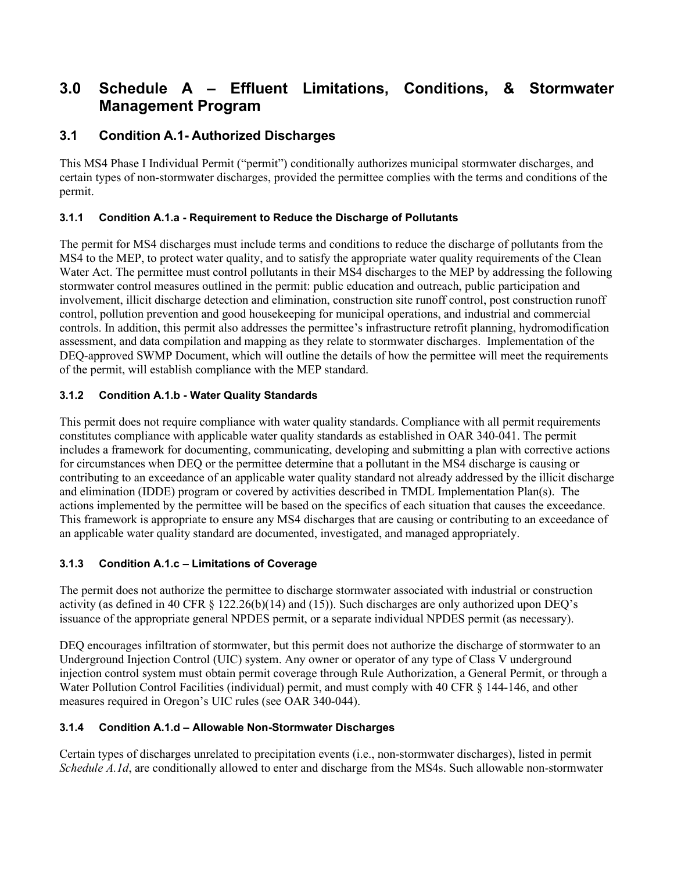## <span id="page-7-0"></span>**3.0 Schedule A – Effluent Limitations, Conditions, & Stormwater Management Program**

### <span id="page-7-1"></span>**3.1 Condition A.1- Authorized Discharges**

This MS4 Phase I Individual Permit ("permit") conditionally authorizes municipal stormwater discharges, and certain types of non-stormwater discharges, provided the permittee complies with the terms and conditions of the permit.

#### <span id="page-7-2"></span>**3.1.1 Condition A.1.a - Requirement to Reduce the Discharge of Pollutants**

The permit for MS4 discharges must include terms and conditions to reduce the discharge of pollutants from the MS4 to the MEP, to protect water quality, and to satisfy the appropriate water quality requirements of the Clean Water Act. The permittee must control pollutants in their MS4 discharges to the MEP by addressing the following stormwater control measures outlined in the permit: public education and outreach, public participation and involvement, illicit discharge detection and elimination, construction site runoff control, post construction runoff control, pollution prevention and good housekeeping for municipal operations, and industrial and commercial controls. In addition, this permit also addresses the permittee's infrastructure retrofit planning, hydromodification assessment, and data compilation and mapping as they relate to stormwater discharges. Implementation of the DEQ-approved SWMP Document, which will outline the details of how the permittee will meet the requirements of the permit, will establish compliance with the MEP standard.

#### <span id="page-7-3"></span>**3.1.2 Condition A.1.b - Water Quality Standards**

This permit does not require compliance with water quality standards. Compliance with all permit requirements constitutes compliance with applicable water quality standards as established in OAR 340-041. The permit includes a framework for documenting, communicating, developing and submitting a plan with corrective actions for circumstances when DEQ or the permittee determine that a pollutant in the MS4 discharge is causing or contributing to an exceedance of an applicable water quality standard not already addressed by the illicit discharge and elimination (IDDE) program or covered by activities described in TMDL Implementation Plan(s). The actions implemented by the permittee will be based on the specifics of each situation that causes the exceedance. This framework is appropriate to ensure any MS4 discharges that are causing or contributing to an exceedance of an applicable water quality standard are documented, investigated, and managed appropriately.

#### <span id="page-7-4"></span>**3.1.3 Condition A.1.c – Limitations of Coverage**

The permit does not authorize the permittee to discharge stormwater associated with industrial or construction activity (as defined in 40 CFR § 122.26(b)(14) and (15)). Such discharges are only authorized upon DEQ's issuance of the appropriate general NPDES permit, or a separate individual NPDES permit (as necessary).

DEQ encourages infiltration of stormwater, but this permit does not authorize the discharge of stormwater to an Underground Injection Control (UIC) system. Any owner or operator of any type of Class V underground injection control system must obtain permit coverage through Rule Authorization, a General Permit, or through a Water Pollution Control Facilities (individual) permit, and must comply with 40 CFR § 144-146, and other measures required in Oregon's UIC rules (see OAR 340-044).

#### <span id="page-7-5"></span>**3.1.4 Condition A.1.d – Allowable Non-Stormwater Discharges**

Certain types of discharges unrelated to precipitation events (i.e., non-stormwater discharges), listed in permit *Schedule A.1d*, are conditionally allowed to enter and discharge from the MS4s. Such allowable non-stormwater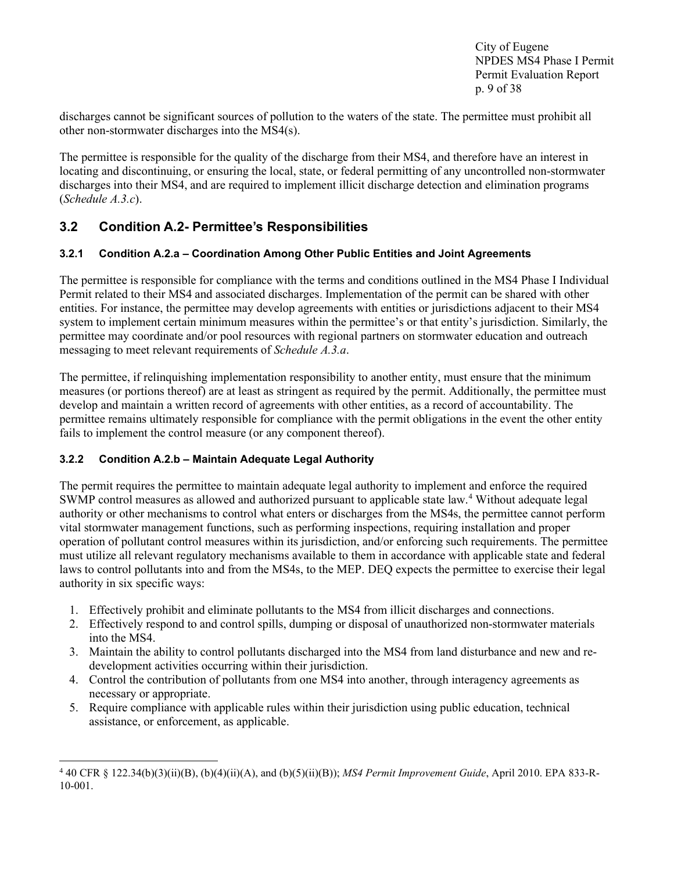City of Eugene NPDES MS4 Phase I Permit Permit Evaluation Report p. 9 of 38

discharges cannot be significant sources of pollution to the waters of the state. The permittee must prohibit all other non-stormwater discharges into the MS4(s).

The permittee is responsible for the quality of the discharge from their MS4, and therefore have an interest in locating and discontinuing, or ensuring the local, state, or federal permitting of any uncontrolled non-stormwater discharges into their MS4, and are required to implement illicit discharge detection and elimination programs (*Schedule A.3.c*).

## <span id="page-8-0"></span>**3.2 Condition A.2- Permittee's Responsibilities**

#### <span id="page-8-1"></span>**3.2.1 Condition A.2.a – Coordination Among Other Public Entities and Joint Agreements**

The permittee is responsible for compliance with the terms and conditions outlined in the MS4 Phase I Individual Permit related to their MS4 and associated discharges. Implementation of the permit can be shared with other entities. For instance, the permittee may develop agreements with entities or jurisdictions adjacent to their MS4 system to implement certain minimum measures within the permittee's or that entity's jurisdiction. Similarly, the permittee may coordinate and/or pool resources with regional partners on stormwater education and outreach messaging to meet relevant requirements of *Schedule A.3.a*.

The permittee, if relinquishing implementation responsibility to another entity, must ensure that the minimum measures (or portions thereof) are at least as stringent as required by the permit. Additionally, the permittee must develop and maintain a written record of agreements with other entities, as a record of accountability. The permittee remains ultimately responsible for compliance with the permit obligations in the event the other entity fails to implement the control measure (or any component thereof).

#### <span id="page-8-2"></span>**3.2.2 Condition A.2.b – Maintain Adequate Legal Authority**

The permit requires the permittee to maintain adequate legal authority to implement and enforce the required SWMP control measures as allowed and authorized pursuant to applicable state law.<sup>[4](#page-8-3)</sup> Without adequate legal authority or other mechanisms to control what enters or discharges from the MS4s, the permittee cannot perform vital stormwater management functions, such as performing inspections, requiring installation and proper operation of pollutant control measures within its jurisdiction, and/or enforcing such requirements. The permittee must utilize all relevant regulatory mechanisms available to them in accordance with applicable state and federal laws to control pollutants into and from the MS4s, to the MEP. DEQ expects the permittee to exercise their legal authority in six specific ways:

- 1. Effectively prohibit and eliminate pollutants to the MS4 from illicit discharges and connections.
- 2. Effectively respond to and control spills, dumping or disposal of unauthorized non-stormwater materials into the MS4.
- 3. Maintain the ability to control pollutants discharged into the MS4 from land disturbance and new and redevelopment activities occurring within their jurisdiction.
- 4. Control the contribution of pollutants from one MS4 into another, through interagency agreements as necessary or appropriate.
- 5. Require compliance with applicable rules within their jurisdiction using public education, technical assistance, or enforcement, as applicable.

<span id="page-8-3"></span><sup>4</sup> 40 CFR § 122.34(b)(3)(ii)(B), (b)(4)(ii)(A), and (b)(5)(ii)(B)); *MS4 Permit Improvement Guide*, April 2010. EPA 833-R-10-001.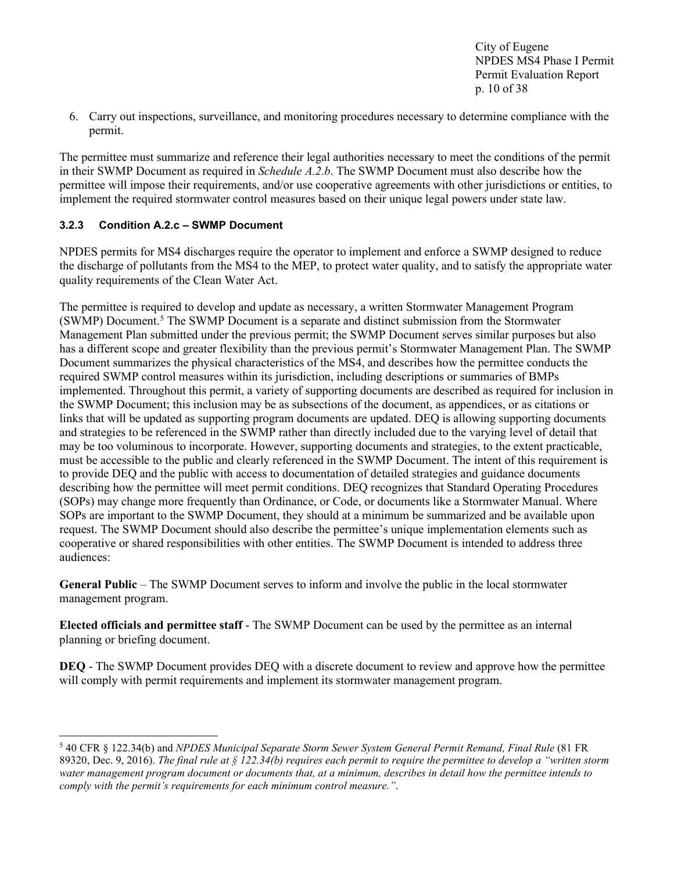City of Eugene NPDES MS4 Phase I Permit Permit Evaluation Report p. 10 of 38

6. Carry out inspections, surveillance, and monitoring procedures necessary to determine compliance with the permit.

The permittee must summarize and reference their legal authorities necessary to meet the conditions of the permit in their SWMP Document as required in *Schedule A.2.b*. The SWMP Document must also describe how the permittee will impose their requirements, and/or use cooperative agreements with other jurisdictions or entities, to implement the required stormwater control measures based on their unique legal powers under state law.

#### <span id="page-9-0"></span>**3.2.3 Condition A.2.c – SWMP Document**

NPDES permits for MS4 discharges require the operator to implement and enforce a SWMP designed to reduce the discharge of pollutants from the MS4 to the MEP, to protect water quality, and to satisfy the appropriate water quality requirements of the Clean Water Act.

The permittee is required to develop and update as necessary, a written Stormwater Management Program (SWMP) Document.[5](#page-9-1) The SWMP Document is a separate and distinct submission from the Stormwater Management Plan submitted under the previous permit; the SWMP Document serves similar purposes but also has a different scope and greater flexibility than the previous permit's Stormwater Management Plan. The SWMP Document summarizes the physical characteristics of the MS4, and describes how the permittee conducts the required SWMP control measures within its jurisdiction, including descriptions or summaries of BMPs implemented. Throughout this permit, a variety of supporting documents are described as required for inclusion in the SWMP Document; this inclusion may be as subsections of the document, as appendices, or as citations or links that will be updated as supporting program documents are updated. DEQ is allowing supporting documents and strategies to be referenced in the SWMP rather than directly included due to the varying level of detail that may be too voluminous to incorporate. However, supporting documents and strategies, to the extent practicable, must be accessible to the public and clearly referenced in the SWMP Document. The intent of this requirement is to provide DEQ and the public with access to documentation of detailed strategies and guidance documents describing how the permittee will meet permit conditions. DEQ recognizes that Standard Operating Procedures (SOPs) may change more frequently than Ordinance, or Code, or documents like a Stormwater Manual. Where SOPs are important to the SWMP Document, they should at a minimum be summarized and be available upon request. The SWMP Document should also describe the permittee's unique implementation elements such as cooperative or shared responsibilities with other entities. The SWMP Document is intended to address three audiences:

**General Public** – The SWMP Document serves to inform and involve the public in the local stormwater management program.

**Elected officials and permittee staff** - The SWMP Document can be used by the permittee as an internal planning or briefing document.

**DEQ** - The SWMP Document provides DEQ with a discrete document to review and approve how the permittee will comply with permit requirements and implement its stormwater management program.

<span id="page-9-1"></span><sup>5</sup> 40 CFR § 122.34(b) and *NPDES Municipal Separate Storm Sewer System General Permit Remand, Final Rule* (81 FR 89320, Dec. 9, 2016). *The final rule at § 122.34(b) requires each permit to require the permittee to develop a "written storm water management program document or documents that, at a minimum, describes in detail how the permittee intends to comply with the permit's requirements for each minimum control measure."*.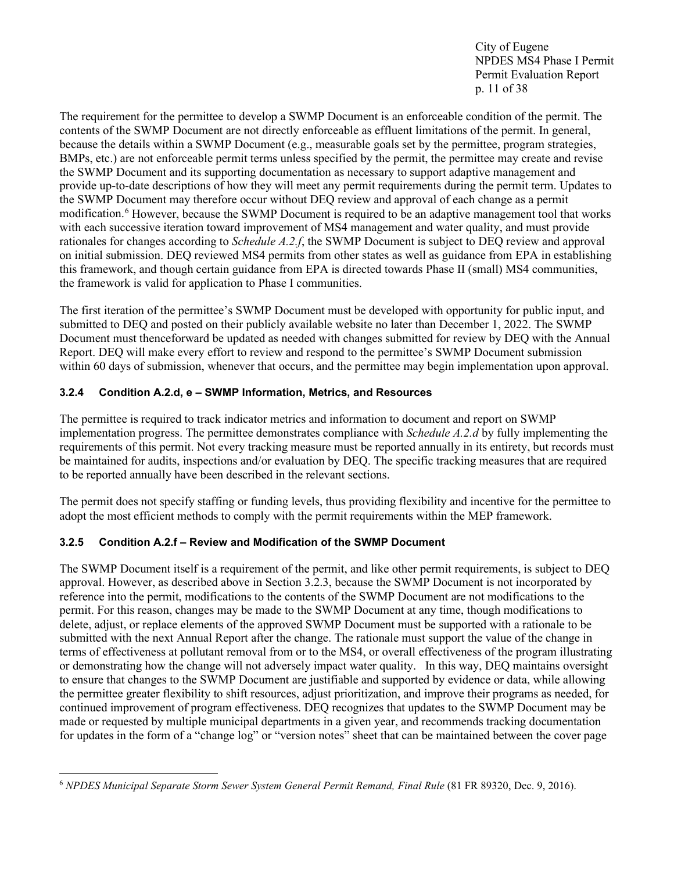City of Eugene NPDES MS4 Phase I Permit Permit Evaluation Report p. 11 of 38

The requirement for the permittee to develop a SWMP Document is an enforceable condition of the permit. The contents of the SWMP Document are not directly enforceable as effluent limitations of the permit. In general, because the details within a SWMP Document (e.g., measurable goals set by the permittee, program strategies, BMPs, etc.) are not enforceable permit terms unless specified by the permit, the permittee may create and revise the SWMP Document and its supporting documentation as necessary to support adaptive management and provide up-to-date descriptions of how they will meet any permit requirements during the permit term. Updates to the SWMP Document may therefore occur without DEQ review and approval of each change as a permit modification.[6](#page-10-2) However, because the SWMP Document is required to be an adaptive management tool that works with each successive iteration toward improvement of MS4 management and water quality, and must provide rationales for changes according to *Schedule A.2.f*, the SWMP Document is subject to DEQ review and approval on initial submission. DEQ reviewed MS4 permits from other states as well as guidance from EPA in establishing this framework, and though certain guidance from EPA is directed towards Phase II (small) MS4 communities, the framework is valid for application to Phase I communities.

The first iteration of the permittee's SWMP Document must be developed with opportunity for public input, and submitted to DEQ and posted on their publicly available website no later than December 1, 2022. The SWMP Document must thenceforward be updated as needed with changes submitted for review by DEQ with the Annual Report. DEQ will make every effort to review and respond to the permittee's SWMP Document submission within 60 days of submission, whenever that occurs, and the permittee may begin implementation upon approval.

#### <span id="page-10-0"></span>**3.2.4 Condition A.2.d, e – SWMP Information, Metrics, and Resources**

The permittee is required to track indicator metrics and information to document and report on SWMP implementation progress. The permittee demonstrates compliance with *Schedule A.2.d* by fully implementing the requirements of this permit. Not every tracking measure must be reported annually in its entirety, but records must be maintained for audits, inspections and/or evaluation by DEQ. The specific tracking measures that are required to be reported annually have been described in the relevant sections.

The permit does not specify staffing or funding levels, thus providing flexibility and incentive for the permittee to adopt the most efficient methods to comply with the permit requirements within the MEP framework.

#### <span id="page-10-1"></span>**3.2.5 Condition A.2.f – Review and Modification of the SWMP Document**

The SWMP Document itself is a requirement of the permit, and like other permit requirements, is subject to DEQ approval. However, as described above in Section 3.2.3, because the SWMP Document is not incorporated by reference into the permit, modifications to the contents of the SWMP Document are not modifications to the permit. For this reason, changes may be made to the SWMP Document at any time, though modifications to delete, adjust, or replace elements of the approved SWMP Document must be supported with a rationale to be submitted with the next Annual Report after the change. The rationale must support the value of the change in terms of effectiveness at pollutant removal from or to the MS4, or overall effectiveness of the program illustrating or demonstrating how the change will not adversely impact water quality. In this way, DEQ maintains oversight to ensure that changes to the SWMP Document are justifiable and supported by evidence or data, while allowing the permittee greater flexibility to shift resources, adjust prioritization, and improve their programs as needed, for continued improvement of program effectiveness. DEQ recognizes that updates to the SWMP Document may be made or requested by multiple municipal departments in a given year, and recommends tracking documentation for updates in the form of a "change log" or "version notes" sheet that can be maintained between the cover page

<span id="page-10-2"></span><sup>6</sup> *NPDES Municipal Separate Storm Sewer System General Permit Remand, Final Rule* (81 FR 89320, Dec. 9, 2016).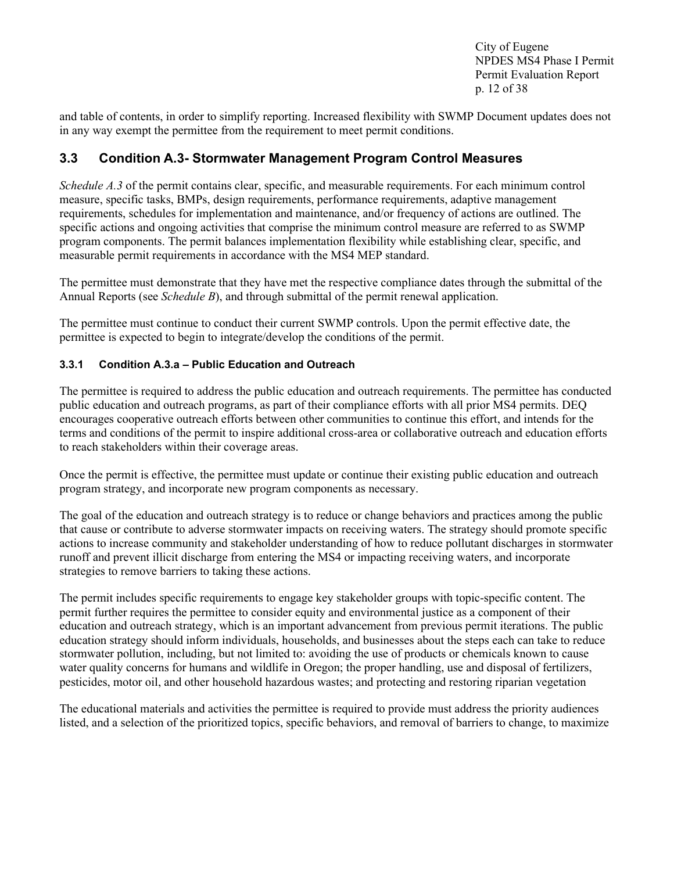City of Eugene NPDES MS4 Phase I Permit Permit Evaluation Report p. 12 of 38

and table of contents, in order to simplify reporting. Increased flexibility with SWMP Document updates does not in any way exempt the permittee from the requirement to meet permit conditions.

### <span id="page-11-0"></span>**3.3 Condition A.3- Stormwater Management Program Control Measures**

*Schedule A.3* of the permit contains clear, specific, and measurable requirements. For each minimum control measure, specific tasks, BMPs, design requirements, performance requirements, adaptive management requirements, schedules for implementation and maintenance, and/or frequency of actions are outlined. The specific actions and ongoing activities that comprise the minimum control measure are referred to as SWMP program components. The permit balances implementation flexibility while establishing clear, specific, and measurable permit requirements in accordance with the MS4 MEP standard.

The permittee must demonstrate that they have met the respective compliance dates through the submittal of the Annual Reports (see *Schedule B*), and through submittal of the permit renewal application.

The permittee must continue to conduct their current SWMP controls. Upon the permit effective date, the permittee is expected to begin to integrate/develop the conditions of the permit.

#### <span id="page-11-1"></span>**3.3.1 Condition A.3.a – Public Education and Outreach**

The permittee is required to address the public education and outreach requirements. The permittee has conducted public education and outreach programs, as part of their compliance efforts with all prior MS4 permits. DEQ encourages cooperative outreach efforts between other communities to continue this effort, and intends for the terms and conditions of the permit to inspire additional cross-area or collaborative outreach and education efforts to reach stakeholders within their coverage areas.

Once the permit is effective, the permittee must update or continue their existing public education and outreach program strategy, and incorporate new program components as necessary.

The goal of the education and outreach strategy is to reduce or change behaviors and practices among the public that cause or contribute to adverse stormwater impacts on receiving waters. The strategy should promote specific actions to increase community and stakeholder understanding of how to reduce pollutant discharges in stormwater runoff and prevent illicit discharge from entering the MS4 or impacting receiving waters, and incorporate strategies to remove barriers to taking these actions.

The permit includes specific requirements to engage key stakeholder groups with topic-specific content. The permit further requires the permittee to consider equity and environmental justice as a component of their education and outreach strategy, which is an important advancement from previous permit iterations. The public education strategy should inform individuals, households, and businesses about the steps each can take to reduce stormwater pollution, including, but not limited to: avoiding the use of products or chemicals known to cause water quality concerns for humans and wildlife in Oregon; the proper handling, use and disposal of fertilizers, pesticides, motor oil, and other household hazardous wastes; and protecting and restoring riparian vegetation

The educational materials and activities the permittee is required to provide must address the priority audiences listed, and a selection of the prioritized topics, specific behaviors, and removal of barriers to change, to maximize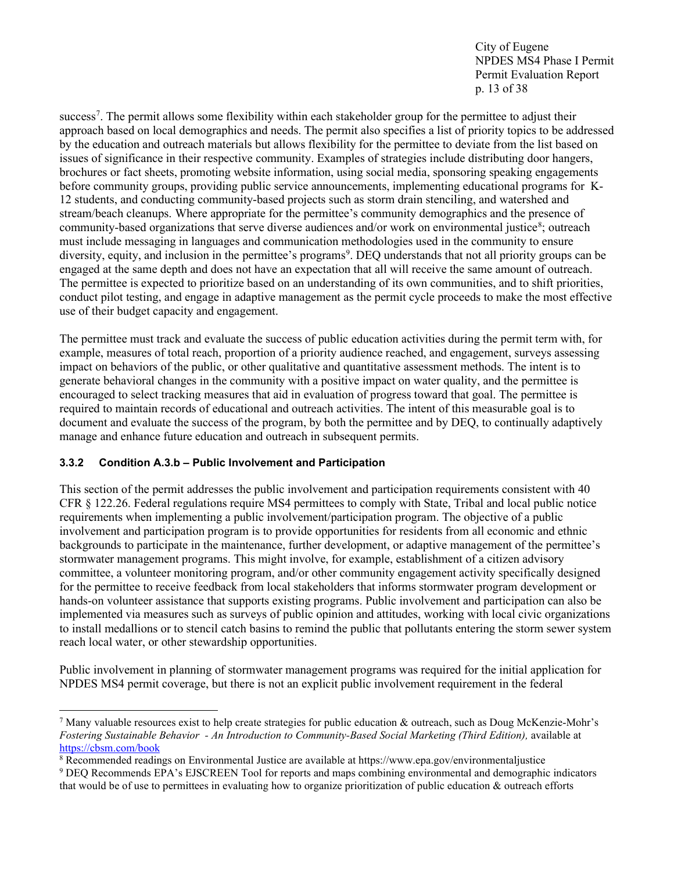City of Eugene NPDES MS4 Phase I Permit Permit Evaluation Report p. 13 of 38

success<sup>7</sup>. The permit allows some flexibility within each stakeholder group for the permittee to adjust their approach based on local demographics and needs. The permit also specifies a list of priority topics to be addressed by the education and outreach materials but allows flexibility for the permittee to deviate from the list based on issues of significance in their respective community. Examples of strategies include distributing door hangers, brochures or fact sheets, promoting website information, using social media, sponsoring speaking engagements before community groups, providing public service announcements, implementing educational programs for K-12 students, and conducting community-based projects such as storm drain stenciling, and watershed and stream/beach cleanups. Where appropriate for the permittee's community demographics and the presence of community-based organizations that serve diverse audiences and/or work on environmental justice<sup>[8](#page-12-2)</sup>; outreach must include messaging in languages and communication methodologies used in the community to ensure diversity, equity, and inclusion in the permittee's programs<sup>[9](#page-12-3)</sup>. DEQ understands that not all priority groups can be engaged at the same depth and does not have an expectation that all will receive the same amount of outreach. The permittee is expected to prioritize based on an understanding of its own communities, and to shift priorities, conduct pilot testing, and engage in adaptive management as the permit cycle proceeds to make the most effective use of their budget capacity and engagement.

The permittee must track and evaluate the success of public education activities during the permit term with, for example, measures of total reach, proportion of a priority audience reached, and engagement, surveys assessing impact on behaviors of the public, or other qualitative and quantitative assessment methods. The intent is to generate behavioral changes in the community with a positive impact on water quality, and the permittee is encouraged to select tracking measures that aid in evaluation of progress toward that goal. The permittee is required to maintain records of educational and outreach activities. The intent of this measurable goal is to document and evaluate the success of the program, by both the permittee and by DEQ, to continually adaptively manage and enhance future education and outreach in subsequent permits.

#### <span id="page-12-0"></span>**3.3.2 Condition A.3.b – Public Involvement and Participation**

This section of the permit addresses the public involvement and participation requirements consistent with 40 CFR § 122.26. Federal regulations require MS4 permittees to comply with State, Tribal and local public notice requirements when implementing a public involvement/participation program. The objective of a public involvement and participation program is to provide opportunities for residents from all economic and ethnic backgrounds to participate in the maintenance, further development, or adaptive management of the permittee's stormwater management programs. This might involve, for example, establishment of a citizen advisory committee, a volunteer monitoring program, and/or other community engagement activity specifically designed for the permittee to receive feedback from local stakeholders that informs stormwater program development or hands-on volunteer assistance that supports existing programs. Public involvement and participation can also be implemented via measures such as surveys of public opinion and attitudes, working with local civic organizations to install medallions or to stencil catch basins to remind the public that pollutants entering the storm sewer system reach local water, or other stewardship opportunities.

Public involvement in planning of stormwater management programs was required for the initial application for NPDES MS4 permit coverage, but there is not an explicit public involvement requirement in the federal

<span id="page-12-1"></span><sup>&</sup>lt;sup>7</sup> Many valuable resources exist to help create strategies for public education & outreach, such as Doug McKenzie-Mohr's *Fostering Sustainable Behavior - An Introduction to Community-Based Social Marketing (Third Edition),* available at <https://cbsm.com/book>

<span id="page-12-2"></span><sup>8</sup> Recommended readings on Environmental Justice are available at https://www.epa.gov/environmentaljustice

<span id="page-12-3"></span><sup>9</sup> DEQ Recommends EPA's EJSCREEN Tool for reports and maps combining environmental and demographic indicators that would be of use to permittees in evaluating how to organize prioritization of public education & outreach efforts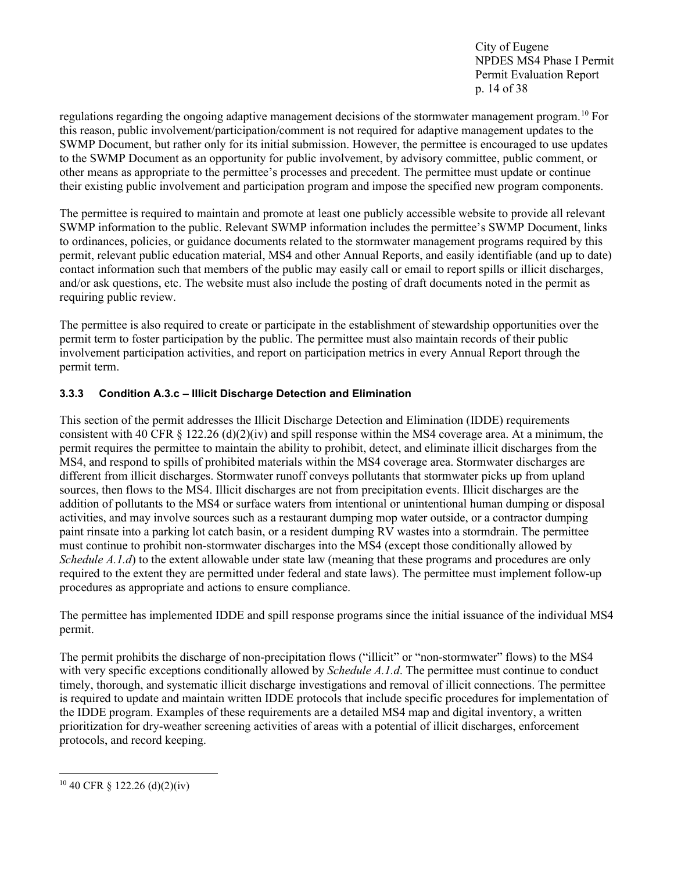City of Eugene NPDES MS4 Phase I Permit Permit Evaluation Report p. 14 of 38

regulations regarding the ongoing adaptive management decisions of the stormwater management program.[10](#page-13-1) For this reason, public involvement/participation/comment is not required for adaptive management updates to the SWMP Document, but rather only for its initial submission. However, the permittee is encouraged to use updates to the SWMP Document as an opportunity for public involvement, by advisory committee, public comment, or other means as appropriate to the permittee's processes and precedent. The permittee must update or continue their existing public involvement and participation program and impose the specified new program components.

The permittee is required to maintain and promote at least one publicly accessible website to provide all relevant SWMP information to the public. Relevant SWMP information includes the permittee's SWMP Document, links to ordinances, policies, or guidance documents related to the stormwater management programs required by this permit, relevant public education material, MS4 and other Annual Reports, and easily identifiable (and up to date) contact information such that members of the public may easily call or email to report spills or illicit discharges, and/or ask questions, etc. The website must also include the posting of draft documents noted in the permit as requiring public review.

The permittee is also required to create or participate in the establishment of stewardship opportunities over the permit term to foster participation by the public. The permittee must also maintain records of their public involvement participation activities, and report on participation metrics in every Annual Report through the permit term.

#### <span id="page-13-0"></span>**3.3.3 Condition A.3.c – Illicit Discharge Detection and Elimination**

This section of the permit addresses the Illicit Discharge Detection and Elimination (IDDE) requirements consistent with 40 CFR § 122.26 (d)(2)(iv) and spill response within the MS4 coverage area. At a minimum, the permit requires the permittee to maintain the ability to prohibit, detect, and eliminate illicit discharges from the MS4, and respond to spills of prohibited materials within the MS4 coverage area. Stormwater discharges are different from illicit discharges. Stormwater runoff conveys pollutants that stormwater picks up from upland sources, then flows to the MS4. Illicit discharges are not from precipitation events. Illicit discharges are the addition of pollutants to the MS4 or surface waters from intentional or unintentional human dumping or disposal activities, and may involve sources such as a restaurant dumping mop water outside, or a contractor dumping paint rinsate into a parking lot catch basin, or a resident dumping RV wastes into a stormdrain. The permittee must continue to prohibit non-stormwater discharges into the MS4 (except those conditionally allowed by *Schedule A.1.d*) to the extent allowable under state law (meaning that these programs and procedures are only required to the extent they are permitted under federal and state laws). The permittee must implement follow-up procedures as appropriate and actions to ensure compliance.

The permittee has implemented IDDE and spill response programs since the initial issuance of the individual MS4 permit.

The permit prohibits the discharge of non-precipitation flows ("illicit" or "non-stormwater" flows) to the MS4 with very specific exceptions conditionally allowed by *Schedule A.1.d*. The permittee must continue to conduct timely, thorough, and systematic illicit discharge investigations and removal of illicit connections. The permittee is required to update and maintain written IDDE protocols that include specific procedures for implementation of the IDDE program. Examples of these requirements are a detailed MS4 map and digital inventory, a written prioritization for dry-weather screening activities of areas with a potential of illicit discharges, enforcement protocols, and record keeping.

<span id="page-13-1"></span> $10\,40$  CFR § 122.26 (d)(2)(iv)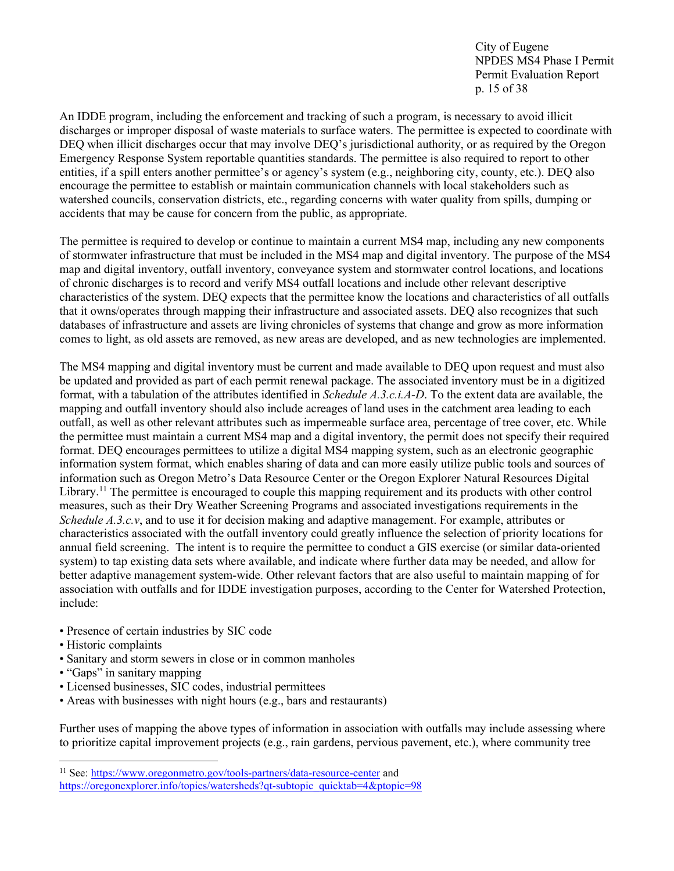City of Eugene NPDES MS4 Phase I Permit Permit Evaluation Report p. 15 of 38

An IDDE program, including the enforcement and tracking of such a program, is necessary to avoid illicit discharges or improper disposal of waste materials to surface waters. The permittee is expected to coordinate with DEQ when illicit discharges occur that may involve DEQ's jurisdictional authority, or as required by the Oregon Emergency Response System reportable quantities standards. The permittee is also required to report to other entities, if a spill enters another permittee's or agency's system (e.g., neighboring city, county, etc.). DEQ also encourage the permittee to establish or maintain communication channels with local stakeholders such as watershed councils, conservation districts, etc., regarding concerns with water quality from spills, dumping or accidents that may be cause for concern from the public, as appropriate.

The permittee is required to develop or continue to maintain a current MS4 map, including any new components of stormwater infrastructure that must be included in the MS4 map and digital inventory. The purpose of the MS4 map and digital inventory, outfall inventory, conveyance system and stormwater control locations, and locations of chronic discharges is to record and verify MS4 outfall locations and include other relevant descriptive characteristics of the system. DEQ expects that the permittee know the locations and characteristics of all outfalls that it owns/operates through mapping their infrastructure and associated assets. DEQ also recognizes that such databases of infrastructure and assets are living chronicles of systems that change and grow as more information comes to light, as old assets are removed, as new areas are developed, and as new technologies are implemented.

The MS4 mapping and digital inventory must be current and made available to DEQ upon request and must also be updated and provided as part of each permit renewal package. The associated inventory must be in a digitized format, with a tabulation of the attributes identified in *Schedule A.3.c.i.A-D*. To the extent data are available, the mapping and outfall inventory should also include acreages of land uses in the catchment area leading to each outfall, as well as other relevant attributes such as impermeable surface area, percentage of tree cover, etc. While the permittee must maintain a current MS4 map and a digital inventory, the permit does not specify their required format. DEQ encourages permittees to utilize a digital MS4 mapping system, such as an electronic geographic information system format, which enables sharing of data and can more easily utilize public tools and sources of information such as Oregon Metro's Data Resource Center or the Oregon Explorer Natural Resources Digital Library.<sup>[11](#page-14-0)</sup> The permittee is encouraged to couple this mapping requirement and its products with other control measures, such as their Dry Weather Screening Programs and associated investigations requirements in the *Schedule A.3.c.v*, and to use it for decision making and adaptive management. For example, attributes or characteristics associated with the outfall inventory could greatly influence the selection of priority locations for annual field screening. The intent is to require the permittee to conduct a GIS exercise (or similar data-oriented system) to tap existing data sets where available, and indicate where further data may be needed, and allow for better adaptive management system-wide. Other relevant factors that are also useful to maintain mapping of for association with outfalls and for IDDE investigation purposes, according to the Center for Watershed Protection, include:

- Presence of certain industries by SIC code
- Historic complaints
- Sanitary and storm sewers in close or in common manholes
- "Gaps" in sanitary mapping
- Licensed businesses, SIC codes, industrial permittees
- Areas with businesses with night hours (e.g., bars and restaurants)

Further uses of mapping the above types of information in association with outfalls may include assessing where to prioritize capital improvement projects (e.g., rain gardens, pervious pavement, etc.), where community tree

<span id="page-14-0"></span><sup>&</sup>lt;sup>11</sup> See[: https://www.oregonmetro.gov/tools-partners/data-resource-center](https://www.oregonmetro.gov/tools-partners/data-resource-center) and

[https://oregonexplorer.info/topics/watersheds?qt-subtopic\\_quicktab=4&ptopic=98](https://oregonexplorer.info/topics/watersheds?qt-subtopic_quicktab=4&ptopic=98)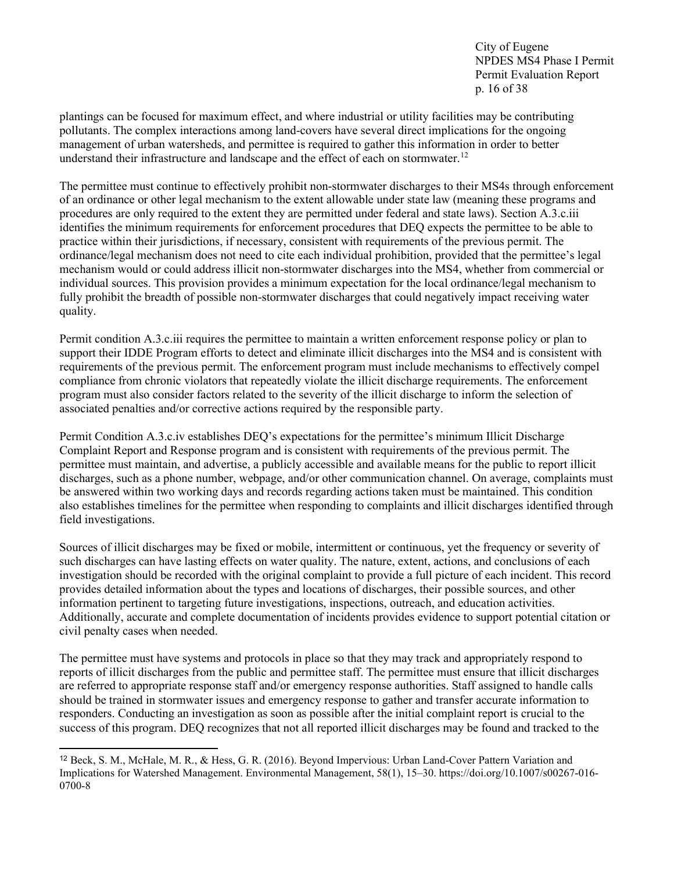City of Eugene NPDES MS4 Phase I Permit Permit Evaluation Report p. 16 of 38

plantings can be focused for maximum effect, and where industrial or utility facilities may be contributing pollutants. The complex interactions among land-covers have several direct implications for the ongoing management of urban watersheds, and permittee is required to gather this information in order to better understand their infrastructure and landscape and the effect of each on stormwater.<sup>[12](#page-15-0)</sup>

The permittee must continue to effectively prohibit non-stormwater discharges to their MS4s through enforcement of an ordinance or other legal mechanism to the extent allowable under state law (meaning these programs and procedures are only required to the extent they are permitted under federal and state laws). Section A.3.c.iii identifies the minimum requirements for enforcement procedures that DEQ expects the permittee to be able to practice within their jurisdictions, if necessary, consistent with requirements of the previous permit. The ordinance/legal mechanism does not need to cite each individual prohibition, provided that the permittee's legal mechanism would or could address illicit non-stormwater discharges into the MS4, whether from commercial or individual sources. This provision provides a minimum expectation for the local ordinance/legal mechanism to fully prohibit the breadth of possible non-stormwater discharges that could negatively impact receiving water quality.

Permit condition A.3.c.iii requires the permittee to maintain a written enforcement response policy or plan to support their IDDE Program efforts to detect and eliminate illicit discharges into the MS4 and is consistent with requirements of the previous permit. The enforcement program must include mechanisms to effectively compel compliance from chronic violators that repeatedly violate the illicit discharge requirements. The enforcement program must also consider factors related to the severity of the illicit discharge to inform the selection of associated penalties and/or corrective actions required by the responsible party.

Permit Condition A.3.c.iv establishes DEQ's expectations for the permittee's minimum Illicit Discharge Complaint Report and Response program and is consistent with requirements of the previous permit. The permittee must maintain, and advertise, a publicly accessible and available means for the public to report illicit discharges, such as a phone number, webpage, and/or other communication channel. On average, complaints must be answered within two working days and records regarding actions taken must be maintained. This condition also establishes timelines for the permittee when responding to complaints and illicit discharges identified through field investigations.

Sources of illicit discharges may be fixed or mobile, intermittent or continuous, yet the frequency or severity of such discharges can have lasting effects on water quality. The nature, extent, actions, and conclusions of each investigation should be recorded with the original complaint to provide a full picture of each incident. This record provides detailed information about the types and locations of discharges, their possible sources, and other information pertinent to targeting future investigations, inspections, outreach, and education activities. Additionally, accurate and complete documentation of incidents provides evidence to support potential citation or civil penalty cases when needed.

The permittee must have systems and protocols in place so that they may track and appropriately respond to reports of illicit discharges from the public and permittee staff. The permittee must ensure that illicit discharges are referred to appropriate response staff and/or emergency response authorities. Staff assigned to handle calls should be trained in stormwater issues and emergency response to gather and transfer accurate information to responders. Conducting an investigation as soon as possible after the initial complaint report is crucial to the success of this program. DEQ recognizes that not all reported illicit discharges may be found and tracked to the

<span id="page-15-0"></span><sup>12</sup> Beck, S. M., McHale, M. R., & Hess, G. R. (2016). Beyond Impervious: Urban Land-Cover Pattern Variation and Implications for Watershed Management. Environmental Management, 58(1), 15–30. https://doi.org/10.1007/s00267-016- 0700-8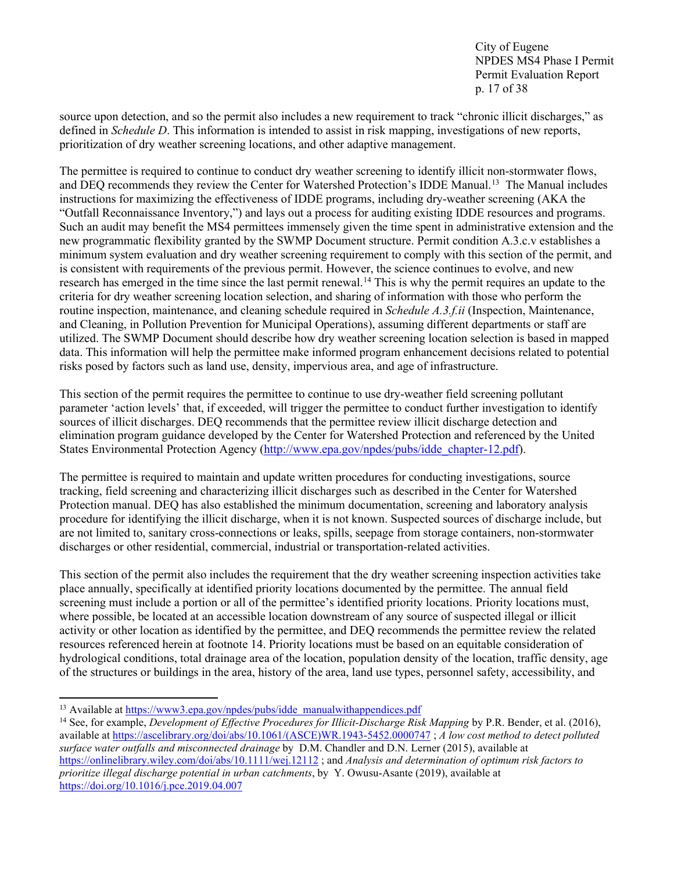City of Eugene NPDES MS4 Phase I Permit Permit Evaluation Report p. 17 of 38

source upon detection, and so the permit also includes a new requirement to track "chronic illicit discharges," as defined in *Schedule D*. This information is intended to assist in risk mapping, investigations of new reports, prioritization of dry weather screening locations, and other adaptive management.

The permittee is required to continue to conduct dry weather screening to identify illicit non-stormwater flows, and DEQ recommends they review the Center for Watershed Protection's IDDE Manual.<sup>[13](#page-16-0)</sup> The Manual includes instructions for maximizing the effectiveness of IDDE programs, including dry-weather screening (AKA the "Outfall Reconnaissance Inventory,") and lays out a process for auditing existing IDDE resources and programs. Such an audit may benefit the MS4 permittees immensely given the time spent in administrative extension and the new programmatic flexibility granted by the SWMP Document structure. Permit condition A.3.c.v establishes a minimum system evaluation and dry weather screening requirement to comply with this section of the permit, and is consistent with requirements of the previous permit. However, the science continues to evolve, and new research has emerged in the time since the last permit renewal.<sup>[14](#page-16-1)</sup> This is why the permit requires an update to the criteria for dry weather screening location selection, and sharing of information with those who perform the routine inspection, maintenance, and cleaning schedule required in *Schedule A.3.f.ii* (Inspection, Maintenance, and Cleaning, in Pollution Prevention for Municipal Operations), assuming different departments or staff are utilized. The SWMP Document should describe how dry weather screening location selection is based in mapped data. This information will help the permittee make informed program enhancement decisions related to potential risks posed by factors such as land use, density, impervious area, and age of infrastructure.

This section of the permit requires the permittee to continue to use dry-weather field screening pollutant parameter 'action levels' that, if exceeded, will trigger the permittee to conduct further investigation to identify sources of illicit discharges. DEQ recommends that the permittee review illicit discharge detection and elimination program guidance developed by the Center for Watershed Protection and referenced by the United States Environmental Protection Agency [\(http://www.epa.gov/npdes/pubs/idde\\_chapter-12.pdf\)](http://www.epa.gov/npdes/pubs/idde_chapter-12.pdf).

The permittee is required to maintain and update written procedures for conducting investigations, source tracking, field screening and characterizing illicit discharges such as described in the Center for Watershed Protection manual. DEQ has also established the minimum documentation, screening and laboratory analysis procedure for identifying the illicit discharge, when it is not known. Suspected sources of discharge include, but are not limited to, sanitary cross-connections or leaks, spills, seepage from storage containers, non-stormwater discharges or other residential, commercial, industrial or transportation-related activities.

This section of the permit also includes the requirement that the dry weather screening inspection activities take place annually, specifically at identified priority locations documented by the permittee. The annual field screening must include a portion or all of the permittee's identified priority locations. Priority locations must, where possible, be located at an accessible location downstream of any source of suspected illegal or illicit activity or other location as identified by the permittee, and DEQ recommends the permittee review the related resources referenced herein at footnote 14. Priority locations must be based on an equitable consideration of hydrological conditions, total drainage area of the location, population density of the location, traffic density, age of the structures or buildings in the area, history of the area, land use types, personnel safety, accessibility, and

<span id="page-16-0"></span><sup>&</sup>lt;sup>13</sup> Available at [https://www3.epa.gov/npdes/pubs/idde\\_manualwithappendices.pdf](https://www3.epa.gov/npdes/pubs/idde_manualwithappendices.pdf)

<span id="page-16-1"></span><sup>14</sup> See, for example, *Development of Effective Procedures for Illicit-Discharge Risk Mapping* by P.R. Bender, et al. (2016), available at [https://ascelibrary.org/doi/abs/10.1061/\(ASCE\)WR.1943-5452.0000747](https://ascelibrary.org/doi/abs/10.1061/(ASCE)WR.1943-5452.0000747) ; *A low cost method to detect polluted surface water outfalls and misconnected drainage* by D.M. Chandler and D.N. Lerner (2015), available at <https://onlinelibrary.wiley.com/doi/abs/10.1111/wej.12112> ; and *Analysis and determination of optimum risk factors to prioritize illegal discharge potential in urban catchments*, by Y. Owusu-Asante (2019), available at <https://doi.org/10.1016/j.pce.2019.04.007>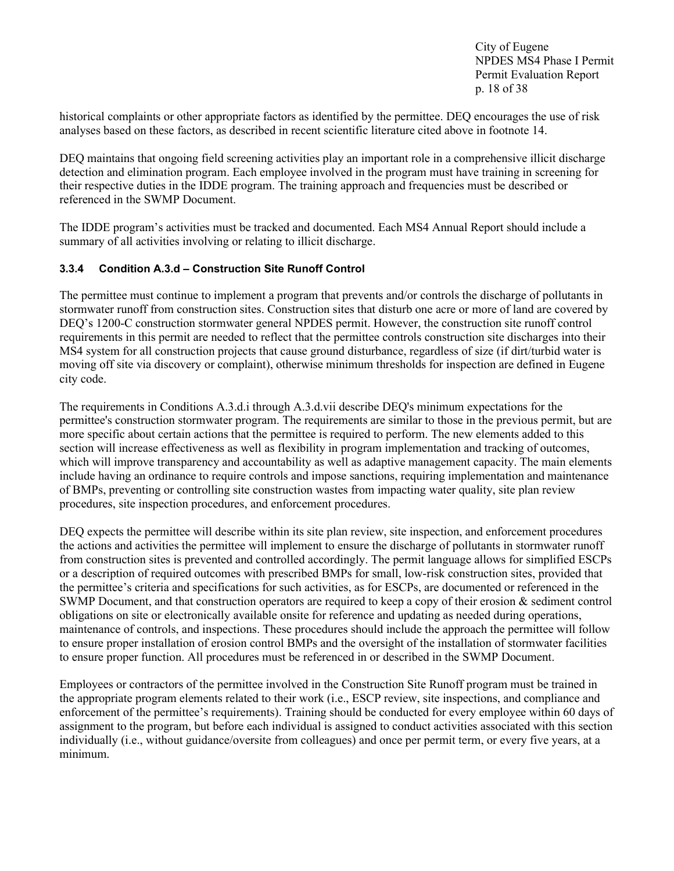City of Eugene NPDES MS4 Phase I Permit Permit Evaluation Report p. 18 of 38

historical complaints or other appropriate factors as identified by the permittee. DEQ encourages the use of risk analyses based on these factors, as described in recent scientific literature cited above in footnote 14.

DEQ maintains that ongoing field screening activities play an important role in a comprehensive illicit discharge detection and elimination program. Each employee involved in the program must have training in screening for their respective duties in the IDDE program. The training approach and frequencies must be described or referenced in the SWMP Document.

The IDDE program's activities must be tracked and documented. Each MS4 Annual Report should include a summary of all activities involving or relating to illicit discharge.

#### <span id="page-17-0"></span>**3.3.4 Condition A.3.d – Construction Site Runoff Control**

The permittee must continue to implement a program that prevents and/or controls the discharge of pollutants in stormwater runoff from construction sites. Construction sites that disturb one acre or more of land are covered by DEQ's 1200-C construction stormwater general NPDES permit. However, the construction site runoff control requirements in this permit are needed to reflect that the permittee controls construction site discharges into their MS4 system for all construction projects that cause ground disturbance, regardless of size (if dirt/turbid water is moving off site via discovery or complaint), otherwise minimum thresholds for inspection are defined in Eugene city code.

The requirements in Conditions A.3.d.i through A.3.d.vii describe DEQ's minimum expectations for the permittee's construction stormwater program. The requirements are similar to those in the previous permit, but are more specific about certain actions that the permittee is required to perform. The new elements added to this section will increase effectiveness as well as flexibility in program implementation and tracking of outcomes, which will improve transparency and accountability as well as adaptive management capacity. The main elements include having an ordinance to require controls and impose sanctions, requiring implementation and maintenance of BMPs, preventing or controlling site construction wastes from impacting water quality, site plan review procedures, site inspection procedures, and enforcement procedures.

DEQ expects the permittee will describe within its site plan review, site inspection, and enforcement procedures the actions and activities the permittee will implement to ensure the discharge of pollutants in stormwater runoff from construction sites is prevented and controlled accordingly. The permit language allows for simplified ESCPs or a description of required outcomes with prescribed BMPs for small, low-risk construction sites, provided that the permittee's criteria and specifications for such activities, as for ESCPs, are documented or referenced in the SWMP Document, and that construction operators are required to keep a copy of their erosion & sediment control obligations on site or electronically available onsite for reference and updating as needed during operations, maintenance of controls, and inspections. These procedures should include the approach the permittee will follow to ensure proper installation of erosion control BMPs and the oversight of the installation of stormwater facilities to ensure proper function. All procedures must be referenced in or described in the SWMP Document.

Employees or contractors of the permittee involved in the Construction Site Runoff program must be trained in the appropriate program elements related to their work (i.e., ESCP review, site inspections, and compliance and enforcement of the permittee's requirements). Training should be conducted for every employee within 60 days of assignment to the program, but before each individual is assigned to conduct activities associated with this section individually (i.e., without guidance/oversite from colleagues) and once per permit term, or every five years, at a minimum.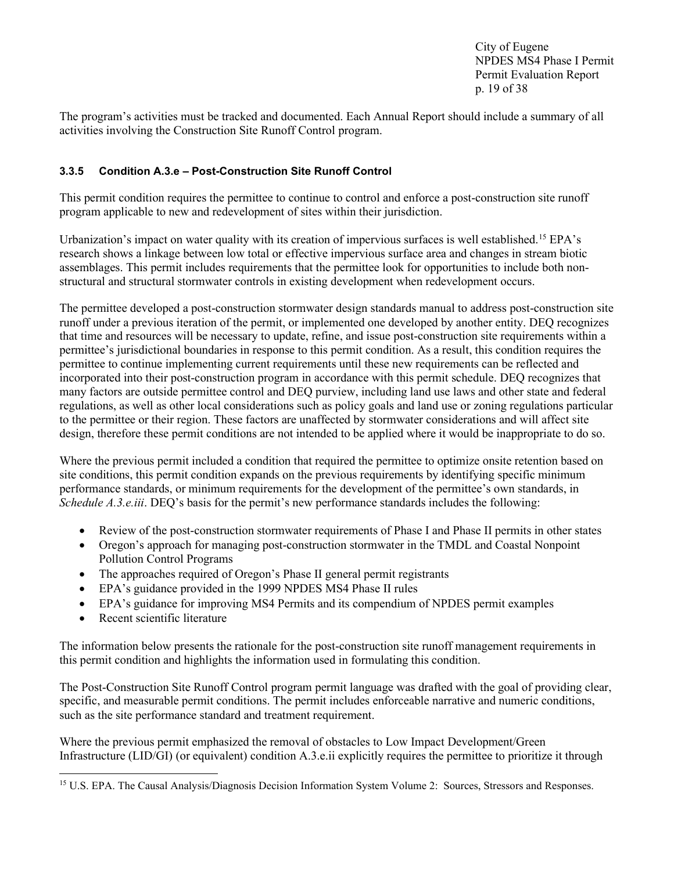City of Eugene NPDES MS4 Phase I Permit Permit Evaluation Report p. 19 of 38

The program's activities must be tracked and documented. Each Annual Report should include a summary of all activities involving the Construction Site Runoff Control program.

#### <span id="page-18-0"></span>**3.3.5 Condition A.3.e – Post-Construction Site Runoff Control**

This permit condition requires the permittee to continue to control and enforce a post-construction site runoff program applicable to new and redevelopment of sites within their jurisdiction.

Urbanization's impact on water quality with its creation of impervious surfaces is well established.<sup>[15](#page-18-1)</sup> EPA's research shows a linkage between low total or effective impervious surface area and changes in stream biotic assemblages. This permit includes requirements that the permittee look for opportunities to include both nonstructural and structural stormwater controls in existing development when redevelopment occurs.

The permittee developed a post-construction stormwater design standards manual to address post-construction site runoff under a previous iteration of the permit, or implemented one developed by another entity. DEQ recognizes that time and resources will be necessary to update, refine, and issue post-construction site requirements within a permittee's jurisdictional boundaries in response to this permit condition. As a result, this condition requires the permittee to continue implementing current requirements until these new requirements can be reflected and incorporated into their post-construction program in accordance with this permit schedule. DEQ recognizes that many factors are outside permittee control and DEQ purview, including land use laws and other state and federal regulations, as well as other local considerations such as policy goals and land use or zoning regulations particular to the permittee or their region. These factors are unaffected by stormwater considerations and will affect site design, therefore these permit conditions are not intended to be applied where it would be inappropriate to do so.

Where the previous permit included a condition that required the permittee to optimize onsite retention based on site conditions, this permit condition expands on the previous requirements by identifying specific minimum performance standards, or minimum requirements for the development of the permittee's own standards, in *Schedule A.3.e.iii*. DEQ's basis for the permit's new performance standards includes the following:

- Review of the post-construction stormwater requirements of Phase I and Phase II permits in other states
- Oregon's approach for managing post-construction stormwater in the TMDL and Coastal Nonpoint Pollution Control Programs
- The approaches required of Oregon's Phase II general permit registrants
- EPA's guidance provided in the 1999 NPDES MS4 Phase II rules
- EPA's guidance for improving MS4 Permits and its compendium of NPDES permit examples
- Recent scientific literature

The information below presents the rationale for the post-construction site runoff management requirements in this permit condition and highlights the information used in formulating this condition.

The Post-Construction Site Runoff Control program permit language was drafted with the goal of providing clear, specific, and measurable permit conditions. The permit includes enforceable narrative and numeric conditions, such as the site performance standard and treatment requirement.

Where the previous permit emphasized the removal of obstacles to Low Impact Development/Green Infrastructure (LID/GI) (or equivalent) condition A.3.e.ii explicitly requires the permittee to prioritize it through

<span id="page-18-1"></span><sup>&</sup>lt;sup>15</sup> U.S. EPA. The Causal Analysis/Diagnosis Decision Information System Volume 2: Sources, Stressors and Responses.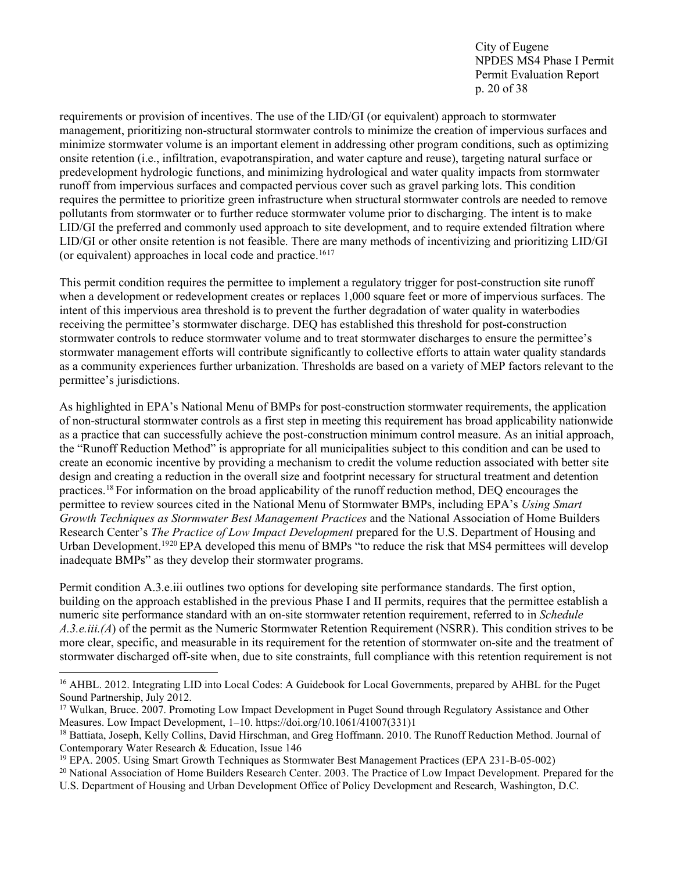City of Eugene NPDES MS4 Phase I Permit Permit Evaluation Report p. 20 of 38

requirements or provision of incentives. The use of the LID/GI (or equivalent) approach to stormwater management, prioritizing non-structural stormwater controls to minimize the creation of impervious surfaces and minimize stormwater volume is an important element in addressing other program conditions, such as optimizing onsite retention (i.e., infiltration, evapotranspiration, and water capture and reuse), targeting natural surface or predevelopment hydrologic functions, and minimizing hydrological and water quality impacts from stormwater runoff from impervious surfaces and compacted pervious cover such as gravel parking lots. This condition requires the permittee to prioritize green infrastructure when structural stormwater controls are needed to remove pollutants from stormwater or to further reduce stormwater volume prior to discharging. The intent is to make LID/GI the preferred and commonly used approach to site development, and to require extended filtration where LID/GI or other onsite retention is not feasible. There are many methods of incentivizing and prioritizing LID/GI (or equivalent) approaches in local code and practice.<sup>[16](#page-19-0)[17](#page-19-1)</sup>

This permit condition requires the permittee to implement a regulatory trigger for post-construction site runoff when a development or redevelopment creates or replaces 1,000 square feet or more of impervious surfaces. The intent of this impervious area threshold is to prevent the further degradation of water quality in waterbodies receiving the permittee's stormwater discharge. DEQ has established this threshold for post-construction stormwater controls to reduce stormwater volume and to treat stormwater discharges to ensure the permittee's stormwater management efforts will contribute significantly to collective efforts to attain water quality standards as a community experiences further urbanization. Thresholds are based on a variety of MEP factors relevant to the permittee's jurisdictions.

As highlighted in EPA's National Menu of BMPs for post-construction stormwater requirements, the application of non-structural stormwater controls as a first step in meeting this requirement has broad applicability nationwide as a practice that can successfully achieve the post-construction minimum control measure. As an initial approach, the "Runoff Reduction Method" is appropriate for all municipalities subject to this condition and can be used to create an economic incentive by providing a mechanism to credit the volume reduction associated with better site design and creating a reduction in the overall size and footprint necessary for structural treatment and detention practices.[18](#page-19-2) For information on the broad applicability of the runoff reduction method, DEQ encourages the permittee to review sources cited in the National Menu of Stormwater BMPs, including EPA's *Using Smart Growth Techniques as Stormwater Best Management Practices* and the National Association of Home Builders Research Center's *The Practice of Low Impact Development* prepared for the U.S. Department of Housing and Urban Development.<sup>[19](#page-19-3)[20](#page-19-4)</sup> EPA developed this menu of BMPs "to reduce the risk that MS4 permittees will develop inadequate BMPs" as they develop their stormwater programs.

Permit condition A.3.e.iii outlines two options for developing site performance standards. The first option, building on the approach established in the previous Phase I and II permits, requires that the permittee establish a numeric site performance standard with an on-site stormwater retention requirement, referred to in *Schedule A.3.e.iii.(A*) of the permit as the Numeric Stormwater Retention Requirement (NSRR). This condition strives to be more clear, specific, and measurable in its requirement for the retention of stormwater on-site and the treatment of stormwater discharged off-site when, due to site constraints, full compliance with this retention requirement is not

<span id="page-19-0"></span><sup>&</sup>lt;sup>16</sup> AHBL. 2012. Integrating LID into Local Codes: A Guidebook for Local Governments, prepared by AHBL for the Puget Sound Partnership, July 2012.

<span id="page-19-1"></span><sup>&</sup>lt;sup>17</sup> Wulkan, Bruce. 2007. Promoting Low Impact Development in Puget Sound through Regulatory Assistance and Other Measures. Low Impact Development, 1–10. https://doi.org/10.1061/41007(331)1

<span id="page-19-2"></span><sup>&</sup>lt;sup>18</sup> Battiata, Joseph, Kelly Collins, David Hirschman, and Greg Hoffmann. 2010. The Runoff Reduction Method. Journal of Contemporary Water Research & Education, Issue 146

<span id="page-19-3"></span><sup>19</sup> EPA. 2005. Using Smart Growth Techniques as Stormwater Best Management Practices (EPA 231-B-05-002)

<span id="page-19-4"></span><sup>&</sup>lt;sup>20</sup> National Association of Home Builders Research Center. 2003. The Practice of Low Impact Development. Prepared for the

U.S. Department of Housing and Urban Development Office of Policy Development and Research, Washington, D.C.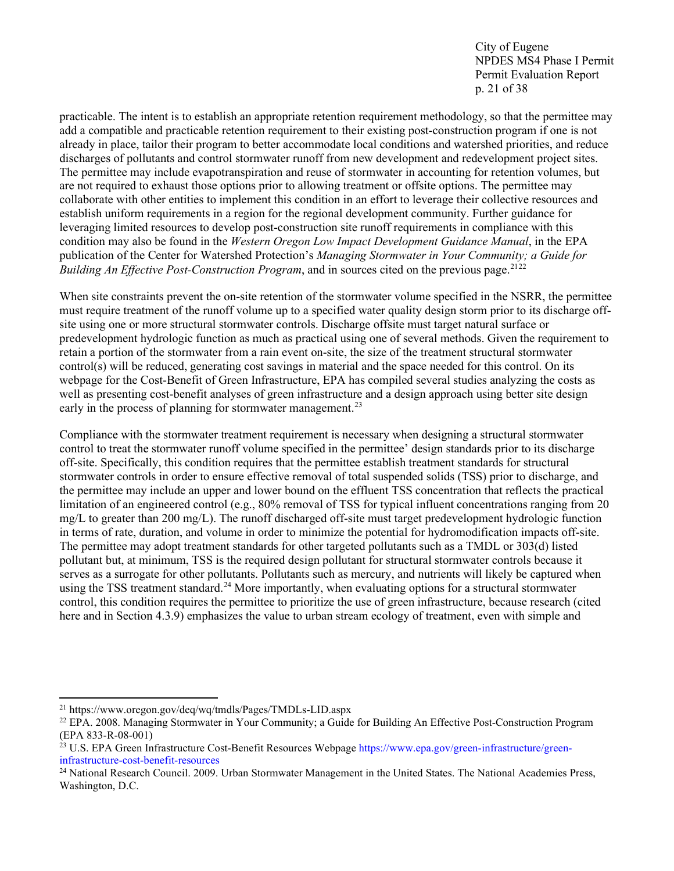City of Eugene NPDES MS4 Phase I Permit Permit Evaluation Report p. 21 of 38

practicable. The intent is to establish an appropriate retention requirement methodology, so that the permittee may add a compatible and practicable retention requirement to their existing post-construction program if one is not already in place, tailor their program to better accommodate local conditions and watershed priorities, and reduce discharges of pollutants and control stormwater runoff from new development and redevelopment project sites. The permittee may include evapotranspiration and reuse of stormwater in accounting for retention volumes, but are not required to exhaust those options prior to allowing treatment or offsite options. The permittee may collaborate with other entities to implement this condition in an effort to leverage their collective resources and establish uniform requirements in a region for the regional development community. Further guidance for leveraging limited resources to develop post-construction site runoff requirements in compliance with this condition may also be found in the *Western Oregon Low Impact Development Guidance Manual*, in the EPA publication of the Center for Watershed Protection's *Managing Stormwater in Your Community; a Guide for Building An Effective Post-Construction Program*, and in sources cited on the previous page.[21](#page-20-0)[22](#page-20-1)

When site constraints prevent the on-site retention of the stormwater volume specified in the NSRR, the permittee must require treatment of the runoff volume up to a specified water quality design storm prior to its discharge offsite using one or more structural stormwater controls. Discharge offsite must target natural surface or predevelopment hydrologic function as much as practical using one of several methods. Given the requirement to retain a portion of the stormwater from a rain event on-site, the size of the treatment structural stormwater control(s) will be reduced, generating cost savings in material and the space needed for this control. On its webpage for the Cost-Benefit of Green Infrastructure, EPA has compiled several studies analyzing the costs as well as presenting cost-benefit analyses of green infrastructure and a design approach using better site design early in the process of planning for stormwater management.<sup>[23](#page-20-2)</sup>

Compliance with the stormwater treatment requirement is necessary when designing a structural stormwater control to treat the stormwater runoff volume specified in the permittee' design standards prior to its discharge off-site. Specifically, this condition requires that the permittee establish treatment standards for structural stormwater controls in order to ensure effective removal of total suspended solids (TSS) prior to discharge, and the permittee may include an upper and lower bound on the effluent TSS concentration that reflects the practical limitation of an engineered control (e.g., 80% removal of TSS for typical influent concentrations ranging from 20 mg/L to greater than 200 mg/L). The runoff discharged off-site must target predevelopment hydrologic function in terms of rate, duration, and volume in order to minimize the potential for hydromodification impacts off-site. The permittee may adopt treatment standards for other targeted pollutants such as a TMDL or 303(d) listed pollutant but, at minimum, TSS is the required design pollutant for structural stormwater controls because it serves as a surrogate for other pollutants. Pollutants such as mercury, and nutrients will likely be captured when using the TSS treatment standard.<sup>[24](#page-20-3)</sup> More importantly, when evaluating options for a structural stormwater control, this condition requires the permittee to prioritize the use of green infrastructure, because research (cited here and in Section 4.3.9) emphasizes the value to urban stream ecology of treatment, even with simple and

<span id="page-20-0"></span><sup>21</sup> https://www.oregon.gov/deq/wq/tmdls/Pages/TMDLs-LID.aspx

<span id="page-20-1"></span><sup>22</sup> EPA. 2008. Managing Stormwater in Your Community; a Guide for Building An Effective Post-Construction Program (EPA 833-R-08-001)

<span id="page-20-2"></span><sup>&</sup>lt;sup>23</sup> U.S. EPA Green Infrastructure Cost-Benefit Resources Webpage https://www.epa.gov/green-infrastructure/greeninfrastructure-cost-benefit-resources<br><sup>24</sup> National Research Council. 2009. Urban Stormwater Management in the United States. The National Academies Press,

<span id="page-20-3"></span>Washington, D.C.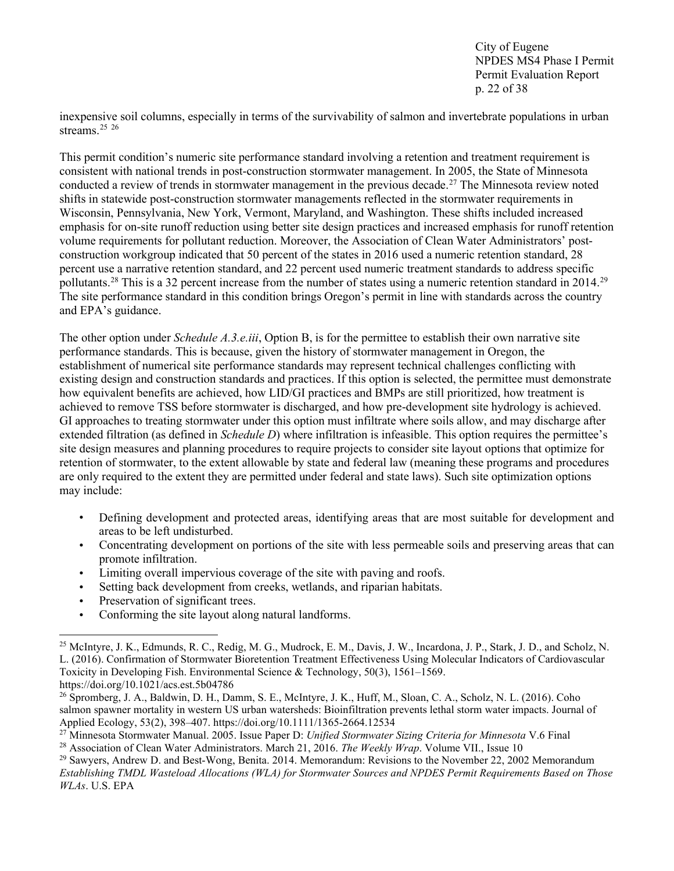City of Eugene NPDES MS4 Phase I Permit Permit Evaluation Report p. 22 of 38

inexpensive soil columns, especially in terms of the survivability of salmon and invertebrate populations in urban streams.<sup>[25](#page-21-0)</sup> <sup>[26](#page-21-1)</sup>

This permit condition's numeric site performance standard involving a retention and treatment requirement is consistent with national trends in post-construction stormwater management. In 2005, the State of Minnesota conducted a review of trends in stormwater management in the previous decade.[27](#page-21-2) The Minnesota review noted shifts in statewide post-construction stormwater managements reflected in the stormwater requirements in Wisconsin, Pennsylvania, New York, Vermont, Maryland, and Washington. These shifts included increased emphasis for on-site runoff reduction using better site design practices and increased emphasis for runoff retention volume requirements for pollutant reduction. Moreover, the Association of Clean Water Administrators' postconstruction workgroup indicated that 50 percent of the states in 2016 used a numeric retention standard, 28 percent use a narrative retention standard, and 22 percent used numeric treatment standards to address specific pollutants.<sup>[28](#page-21-3)</sup> This is a 32 percent increase from the number of states using a numeric retention standard in 2014.<sup>29</sup> The site performance standard in this condition brings Oregon's permit in line with standards across the country and EPA's guidance.

The other option under *Schedule A.3.e.iii*, Option B, is for the permittee to establish their own narrative site performance standards. This is because, given the history of stormwater management in Oregon, the establishment of numerical site performance standards may represent technical challenges conflicting with existing design and construction standards and practices. If this option is selected, the permittee must demonstrate how equivalent benefits are achieved, how LID/GI practices and BMPs are still prioritized, how treatment is achieved to remove TSS before stormwater is discharged, and how pre-development site hydrology is achieved. GI approaches to treating stormwater under this option must infiltrate where soils allow, and may discharge after extended filtration (as defined in *Schedule D*) where infiltration is infeasible. This option requires the permittee's site design measures and planning procedures to require projects to consider site layout options that optimize for retention of stormwater, to the extent allowable by state and federal law (meaning these programs and procedures are only required to the extent they are permitted under federal and state laws). Such site optimization options may include:

- Defining development and protected areas, identifying areas that are most suitable for development and areas to be left undisturbed.
- Concentrating development on portions of the site with less permeable soils and preserving areas that can promote infiltration.
- Limiting overall impervious coverage of the site with paving and roofs.
- Setting back development from creeks, wetlands, and riparian habitats.
- Preservation of significant trees.
- Conforming the site layout along natural landforms.

<span id="page-21-0"></span><sup>25</sup> McIntyre, J. K., Edmunds, R. C., Redig, M. G., Mudrock, E. M., Davis, J. W., Incardona, J. P., Stark, J. D., and Scholz, N. L. (2016). Confirmation of Stormwater Bioretention Treatment Effectiveness Using Molecular Indicators of Cardiovascular Toxicity in Developing Fish. Environmental Science & Technology, 50(3), 1561–1569. https://doi.org/10.1021/acs.est.5b04786

<span id="page-21-1"></span><sup>26</sup> Spromberg, J. A., Baldwin, D. H., Damm, S. E., McIntyre, J. K., Huff, M., Sloan, C. A., Scholz, N. L. (2016). Coho salmon spawner mortality in western US urban watersheds: Bioinfiltration prevents lethal storm water impacts. Journal of Applied Ecology, 53(2), 398–407. https://doi.org/10.1111/1365-2664.12534

<span id="page-21-3"></span><span id="page-21-2"></span><sup>&</sup>lt;sup>27</sup> Minnesota Stormwater Manual. 2005. Issue Paper D: *Unified Stormwater Sizing Criteria for Minnesota* V.6 Final <sup>28</sup> Association of Clean Water Administrators. March 21, 2016. *The Weekly Wrap*. Volume VII., Issue 10

<span id="page-21-4"></span><sup>29</sup> Sawyers, Andrew D. and Best-Wong, Benita. 2014. Memorandum: Revisions to the November 22, 2002 Memorandum *Establishing TMDL Wasteload Allocations (WLA) for Stormwater Sources and NPDES Permit Requirements Based on Those WLAs*. U.S. EPA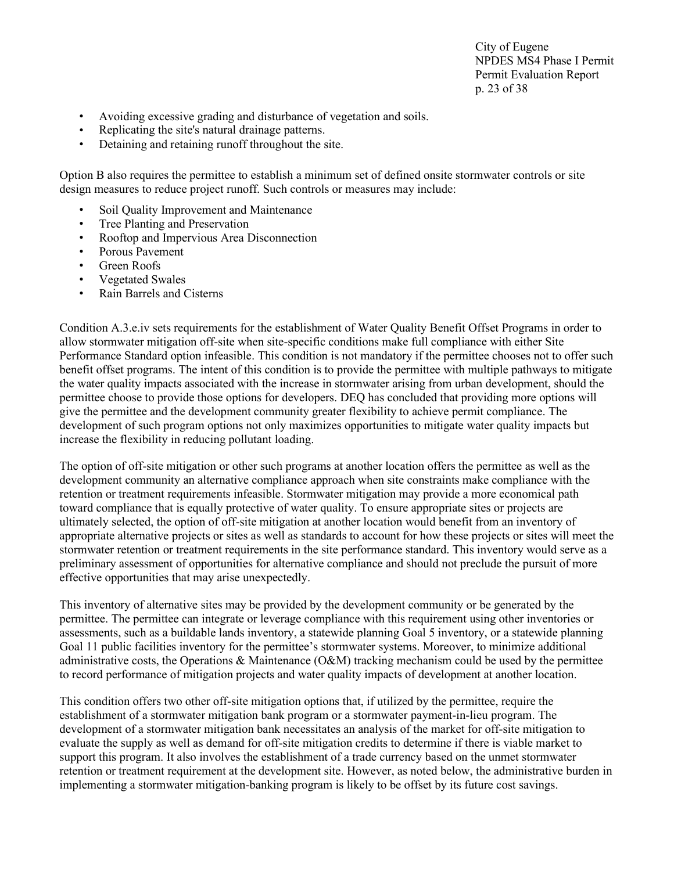City of Eugene NPDES MS4 Phase I Permit Permit Evaluation Report p. 23 of 38

- Avoiding excessive grading and disturbance of vegetation and soils.
- Replicating the site's natural drainage patterns.
- Detaining and retaining runoff throughout the site.

Option B also requires the permittee to establish a minimum set of defined onsite stormwater controls or site design measures to reduce project runoff. Such controls or measures may include:

- Soil Quality Improvement and Maintenance
- Tree Planting and Preservation
- Rooftop and Impervious Area Disconnection
- Porous Pavement
- Green Roofs
- Vegetated Swales
- Rain Barrels and Cisterns

Condition A.3.e.iv sets requirements for the establishment of Water Quality Benefit Offset Programs in order to allow stormwater mitigation off-site when site-specific conditions make full compliance with either Site Performance Standard option infeasible. This condition is not mandatory if the permittee chooses not to offer such benefit offset programs. The intent of this condition is to provide the permittee with multiple pathways to mitigate the water quality impacts associated with the increase in stormwater arising from urban development, should the permittee choose to provide those options for developers. DEQ has concluded that providing more options will give the permittee and the development community greater flexibility to achieve permit compliance. The development of such program options not only maximizes opportunities to mitigate water quality impacts but increase the flexibility in reducing pollutant loading.

The option of off-site mitigation or other such programs at another location offers the permittee as well as the development community an alternative compliance approach when site constraints make compliance with the retention or treatment requirements infeasible. Stormwater mitigation may provide a more economical path toward compliance that is equally protective of water quality. To ensure appropriate sites or projects are ultimately selected, the option of off-site mitigation at another location would benefit from an inventory of appropriate alternative projects or sites as well as standards to account for how these projects or sites will meet the stormwater retention or treatment requirements in the site performance standard. This inventory would serve as a preliminary assessment of opportunities for alternative compliance and should not preclude the pursuit of more effective opportunities that may arise unexpectedly.

This inventory of alternative sites may be provided by the development community or be generated by the permittee. The permittee can integrate or leverage compliance with this requirement using other inventories or assessments, such as a buildable lands inventory, a statewide planning Goal 5 inventory, or a statewide planning Goal 11 public facilities inventory for the permittee's stormwater systems. Moreover, to minimize additional administrative costs, the Operations & Maintenance (O&M) tracking mechanism could be used by the permittee to record performance of mitigation projects and water quality impacts of development at another location.

This condition offers two other off-site mitigation options that, if utilized by the permittee, require the establishment of a stormwater mitigation bank program or a stormwater payment-in-lieu program. The development of a stormwater mitigation bank necessitates an analysis of the market for off-site mitigation to evaluate the supply as well as demand for off-site mitigation credits to determine if there is viable market to support this program. It also involves the establishment of a trade currency based on the unmet stormwater retention or treatment requirement at the development site. However, as noted below, the administrative burden in implementing a stormwater mitigation-banking program is likely to be offset by its future cost savings.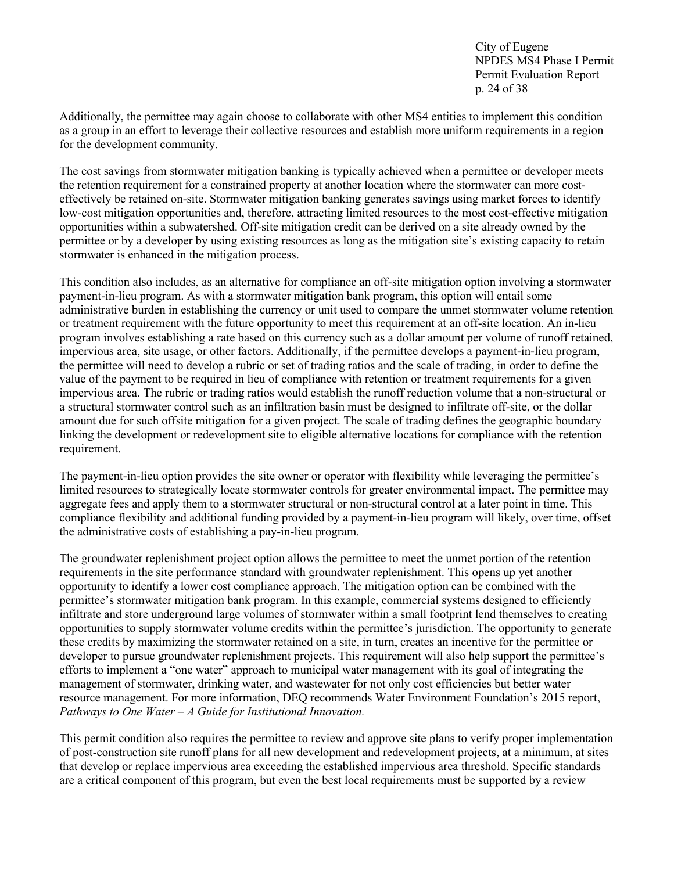City of Eugene NPDES MS4 Phase I Permit Permit Evaluation Report p. 24 of 38

Additionally, the permittee may again choose to collaborate with other MS4 entities to implement this condition as a group in an effort to leverage their collective resources and establish more uniform requirements in a region for the development community.

The cost savings from stormwater mitigation banking is typically achieved when a permittee or developer meets the retention requirement for a constrained property at another location where the stormwater can more costeffectively be retained on-site. Stormwater mitigation banking generates savings using market forces to identify low-cost mitigation opportunities and, therefore, attracting limited resources to the most cost-effective mitigation opportunities within a subwatershed. Off-site mitigation credit can be derived on a site already owned by the permittee or by a developer by using existing resources as long as the mitigation site's existing capacity to retain stormwater is enhanced in the mitigation process.

This condition also includes, as an alternative for compliance an off-site mitigation option involving a stormwater payment-in-lieu program. As with a stormwater mitigation bank program, this option will entail some administrative burden in establishing the currency or unit used to compare the unmet stormwater volume retention or treatment requirement with the future opportunity to meet this requirement at an off-site location. An in-lieu program involves establishing a rate based on this currency such as a dollar amount per volume of runoff retained, impervious area, site usage, or other factors. Additionally, if the permittee develops a payment-in-lieu program, the permittee will need to develop a rubric or set of trading ratios and the scale of trading, in order to define the value of the payment to be required in lieu of compliance with retention or treatment requirements for a given impervious area. The rubric or trading ratios would establish the runoff reduction volume that a non-structural or a structural stormwater control such as an infiltration basin must be designed to infiltrate off-site, or the dollar amount due for such offsite mitigation for a given project. The scale of trading defines the geographic boundary linking the development or redevelopment site to eligible alternative locations for compliance with the retention requirement.

The payment-in-lieu option provides the site owner or operator with flexibility while leveraging the permittee's limited resources to strategically locate stormwater controls for greater environmental impact. The permittee may aggregate fees and apply them to a stormwater structural or non-structural control at a later point in time. This compliance flexibility and additional funding provided by a payment-in-lieu program will likely, over time, offset the administrative costs of establishing a pay-in-lieu program.

The groundwater replenishment project option allows the permittee to meet the unmet portion of the retention requirements in the site performance standard with groundwater replenishment. This opens up yet another opportunity to identify a lower cost compliance approach. The mitigation option can be combined with the permittee's stormwater mitigation bank program. In this example, commercial systems designed to efficiently infiltrate and store underground large volumes of stormwater within a small footprint lend themselves to creating opportunities to supply stormwater volume credits within the permittee's jurisdiction. The opportunity to generate these credits by maximizing the stormwater retained on a site, in turn, creates an incentive for the permittee or developer to pursue groundwater replenishment projects. This requirement will also help support the permittee's efforts to implement a "one water" approach to municipal water management with its goal of integrating the management of stormwater, drinking water, and wastewater for not only cost efficiencies but better water resource management. For more information, DEQ recommends Water Environment Foundation's 2015 report, *Pathways to One Water – A Guide for Institutional Innovation.*

This permit condition also requires the permittee to review and approve site plans to verify proper implementation of post-construction site runoff plans for all new development and redevelopment projects, at a minimum, at sites that develop or replace impervious area exceeding the established impervious area threshold. Specific standards are a critical component of this program, but even the best local requirements must be supported by a review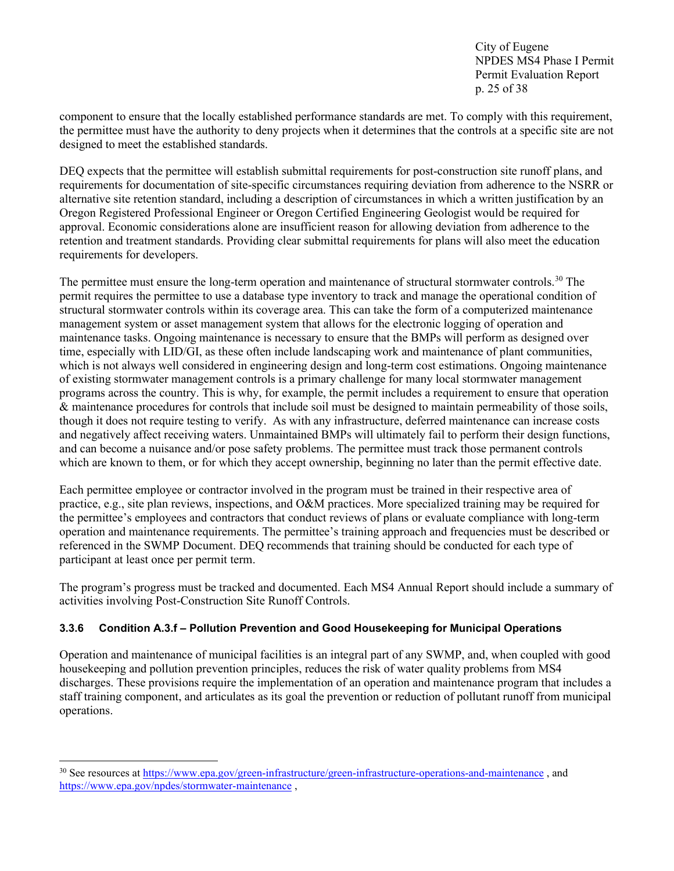City of Eugene NPDES MS4 Phase I Permit Permit Evaluation Report p. 25 of 38

component to ensure that the locally established performance standards are met. To comply with this requirement, the permittee must have the authority to deny projects when it determines that the controls at a specific site are not designed to meet the established standards.

DEQ expects that the permittee will establish submittal requirements for post-construction site runoff plans, and requirements for documentation of site-specific circumstances requiring deviation from adherence to the NSRR or alternative site retention standard, including a description of circumstances in which a written justification by an Oregon Registered Professional Engineer or Oregon Certified Engineering Geologist would be required for approval. Economic considerations alone are insufficient reason for allowing deviation from adherence to the retention and treatment standards. Providing clear submittal requirements for plans will also meet the education requirements for developers.

The permittee must ensure the long-term operation and maintenance of structural stormwater controls.<sup>30</sup> The permit requires the permittee to use a database type inventory to track and manage the operational condition of structural stormwater controls within its coverage area. This can take the form of a computerized maintenance management system or asset management system that allows for the electronic logging of operation and maintenance tasks. Ongoing maintenance is necessary to ensure that the BMPs will perform as designed over time, especially with LID/GI, as these often include landscaping work and maintenance of plant communities, which is not always well considered in engineering design and long-term cost estimations. Ongoing maintenance of existing stormwater management controls is a primary challenge for many local stormwater management programs across the country. This is why, for example, the permit includes a requirement to ensure that operation & maintenance procedures for controls that include soil must be designed to maintain permeability of those soils, though it does not require testing to verify. As with any infrastructure, deferred maintenance can increase costs and negatively affect receiving waters. Unmaintained BMPs will ultimately fail to perform their design functions, and can become a nuisance and/or pose safety problems. The permittee must track those permanent controls which are known to them, or for which they accept ownership, beginning no later than the permit effective date.

Each permittee employee or contractor involved in the program must be trained in their respective area of practice, e.g., site plan reviews, inspections, and O&M practices. More specialized training may be required for the permittee's employees and contractors that conduct reviews of plans or evaluate compliance with long-term operation and maintenance requirements. The permittee's training approach and frequencies must be described or referenced in the SWMP Document. DEQ recommends that training should be conducted for each type of participant at least once per permit term.

The program's progress must be tracked and documented. Each MS4 Annual Report should include a summary of activities involving Post-Construction Site Runoff Controls.

#### <span id="page-24-0"></span>**3.3.6 Condition A.3.f – Pollution Prevention and Good Housekeeping for Municipal Operations**

Operation and maintenance of municipal facilities is an integral part of any SWMP, and, when coupled with good housekeeping and pollution prevention principles, reduces the risk of water quality problems from MS4 discharges. These provisions require the implementation of an operation and maintenance program that includes a staff training component, and articulates as its goal the prevention or reduction of pollutant runoff from municipal operations.

<span id="page-24-1"></span><sup>&</sup>lt;sup>30</sup> See resources at<https://www.epa.gov/green-infrastructure/green-infrastructure-operations-and-maintenance>, and [https://www.epa.gov/npdes/stormwater-maintenance](https://www.epa.gov/npdes/stormwater-maintenance#descriptions) ,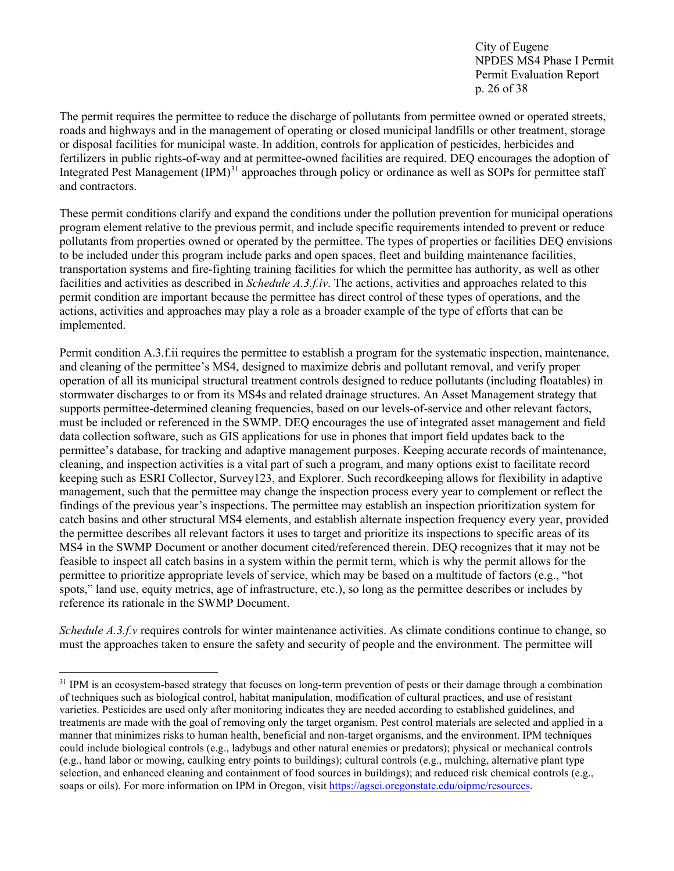City of Eugene NPDES MS4 Phase I Permit Permit Evaluation Report p. 26 of 38

The permit requires the permittee to reduce the discharge of pollutants from permittee owned or operated streets, roads and highways and in the management of operating or closed municipal landfills or other treatment, storage or disposal facilities for municipal waste. In addition, controls for application of pesticides, herbicides and fertilizers in public rights-of-way and at permittee-owned facilities are required. DEQ encourages the adoption of Integrated Pest Management (IPM)<sup>[31](#page-25-0)</sup> approaches through policy or ordinance as well as SOPs for permittee staff and contractors.

These permit conditions clarify and expand the conditions under the pollution prevention for municipal operations program element relative to the previous permit, and include specific requirements intended to prevent or reduce pollutants from properties owned or operated by the permittee. The types of properties or facilities DEQ envisions to be included under this program include parks and open spaces, fleet and building maintenance facilities, transportation systems and fire-fighting training facilities for which the permittee has authority, as well as other facilities and activities as described in *Schedule A.3.f.iv*. The actions, activities and approaches related to this permit condition are important because the permittee has direct control of these types of operations, and the actions, activities and approaches may play a role as a broader example of the type of efforts that can be implemented.

Permit condition A.3.f.ii requires the permittee to establish a program for the systematic inspection, maintenance, and cleaning of the permittee's MS4, designed to maximize debris and pollutant removal, and verify proper operation of all its municipal structural treatment controls designed to reduce pollutants (including floatables) in stormwater discharges to or from its MS4s and related drainage structures. An Asset Management strategy that supports permittee-determined cleaning frequencies, based on our levels-of-service and other relevant factors, must be included or referenced in the SWMP. DEQ encourages the use of integrated asset management and field data collection software, such as GIS applications for use in phones that import field updates back to the permittee's database, for tracking and adaptive management purposes. Keeping accurate records of maintenance, cleaning, and inspection activities is a vital part of such a program, and many options exist to facilitate record keeping such as ESRI Collector, Survey123, and Explorer. Such recordkeeping allows for flexibility in adaptive management, such that the permittee may change the inspection process every year to complement or reflect the findings of the previous year's inspections. The permittee may establish an inspection prioritization system for catch basins and other structural MS4 elements, and establish alternate inspection frequency every year, provided the permittee describes all relevant factors it uses to target and prioritize its inspections to specific areas of its MS4 in the SWMP Document or another document cited/referenced therein. DEQ recognizes that it may not be feasible to inspect all catch basins in a system within the permit term, which is why the permit allows for the permittee to prioritize appropriate levels of service, which may be based on a multitude of factors (e.g., "hot spots," land use, equity metrics, age of infrastructure, etc.), so long as the permittee describes or includes by reference its rationale in the SWMP Document.

*Schedule A.3.f.v* requires controls for winter maintenance activities. As climate conditions continue to change, so must the approaches taken to ensure the safety and security of people and the environment. The permittee will

<span id="page-25-0"></span><sup>&</sup>lt;sup>31</sup> IPM is an ecosystem-based strategy that focuses on long-term prevention of pests or their damage through a combination of techniques such as biological control, habitat manipulation, modification of cultural practices, and use of resistant varieties. Pesticides are used only after monitoring indicates they are needed according to established guidelines, and treatments are made with the goal of removing only the target organism. Pest control materials are selected and applied in a manner that minimizes risks to human health, beneficial and non-target organisms, and the environment. IPM techniques could include biological controls (e.g., ladybugs and other natural enemies or predators); physical or mechanical controls (e.g., hand labor or mowing, caulking entry points to buildings); cultural controls (e.g., mulching, alternative plant type selection, and enhanced cleaning and containment of food sources in buildings); and reduced risk chemical controls (e.g., soaps or oils). For more information on IPM in Oregon, visit [https://agsci.oregonstate.edu/oipmc/resources.](https://agsci.oregonstate.edu/oipmc/resources)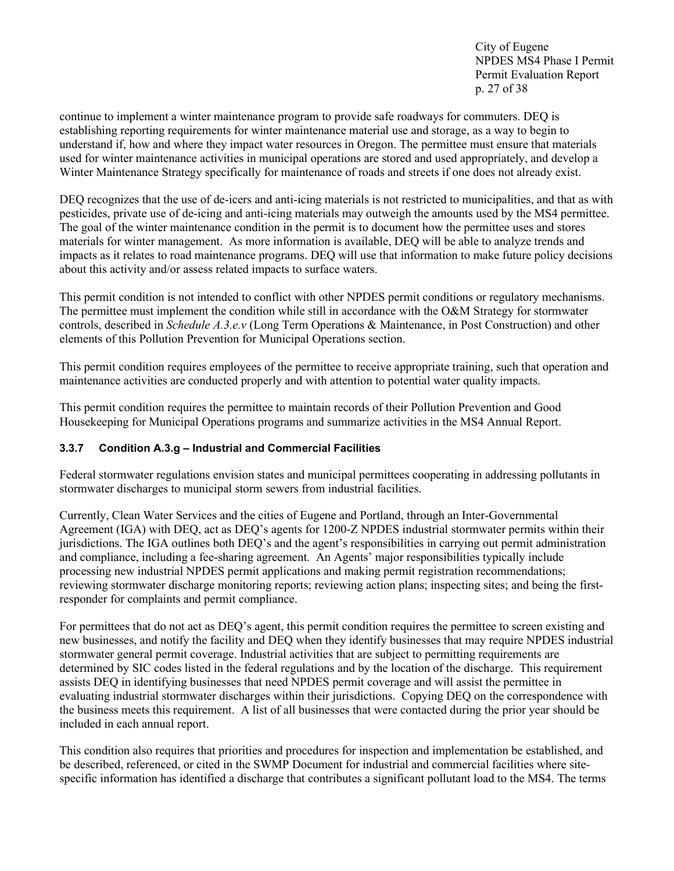City of Eugene NPDES MS4 Phase I Permit Permit Evaluation Report p. 27 of 38

continue to implement a winter maintenance program to provide safe roadways for commuters. DEQ is establishing reporting requirements for winter maintenance material use and storage, as a way to begin to understand if, how and where they impact water resources in Oregon. The permittee must ensure that materials used for winter maintenance activities in municipal operations are stored and used appropriately, and develop a Winter Maintenance Strategy specifically for maintenance of roads and streets if one does not already exist.

DEQ recognizes that the use of de-icers and anti-icing materials is not restricted to municipalities, and that as with pesticides, private use of de-icing and anti-icing materials may outweigh the amounts used by the MS4 permittee. The goal of the winter maintenance condition in the permit is to document how the permittee uses and stores materials for winter management. As more information is available, DEQ will be able to analyze trends and impacts as it relates to road maintenance programs. DEQ will use that information to make future policy decisions about this activity and/or assess related impacts to surface waters.

This permit condition is not intended to conflict with other NPDES permit conditions or regulatory mechanisms. The permittee must implement the condition while still in accordance with the O&M Strategy for stormwater controls, described in *Schedule A.3.e.v* (Long Term Operations & Maintenance, in Post Construction) and other elements of this Pollution Prevention for Municipal Operations section.

This permit condition requires employees of the permittee to receive appropriate training, such that operation and maintenance activities are conducted properly and with attention to potential water quality impacts.

This permit condition requires the permittee to maintain records of their Pollution Prevention and Good Housekeeping for Municipal Operations programs and summarize activities in the MS4 Annual Report.

#### <span id="page-26-0"></span>**3.3.7 Condition A.3.g – Industrial and Commercial Facilities**

Federal stormwater regulations envision states and municipal permittees cooperating in addressing pollutants in stormwater discharges to municipal storm sewers from industrial facilities.

Currently, Clean Water Services and the cities of Eugene and Portland, through an Inter-Governmental Agreement (IGA) with DEQ, act as DEQ's agents for 1200-Z NPDES industrial stormwater permits within their jurisdictions. The IGA outlines both DEQ's and the agent's responsibilities in carrying out permit administration and compliance, including a fee-sharing agreement. An Agents' major responsibilities typically include processing new industrial NPDES permit applications and making permit registration recommendations; reviewing stormwater discharge monitoring reports; reviewing action plans; inspecting sites; and being the firstresponder for complaints and permit compliance.

For permittees that do not act as DEQ's agent, this permit condition requires the permittee to screen existing and new businesses, and notify the facility and DEQ when they identify businesses that may require NPDES industrial stormwater general permit coverage. Industrial activities that are subject to permitting requirements are determined by SIC codes listed in the federal regulations and by the location of the discharge. This requirement assists DEQ in identifying businesses that need NPDES permit coverage and will assist the permittee in evaluating industrial stormwater discharges within their jurisdictions. Copying DEQ on the correspondence with the business meets this requirement. A list of all businesses that were contacted during the prior year should be included in each annual report.

This condition also requires that priorities and procedures for inspection and implementation be established, and be described, referenced, or cited in the SWMP Document for industrial and commercial facilities where sitespecific information has identified a discharge that contributes a significant pollutant load to the MS4. The terms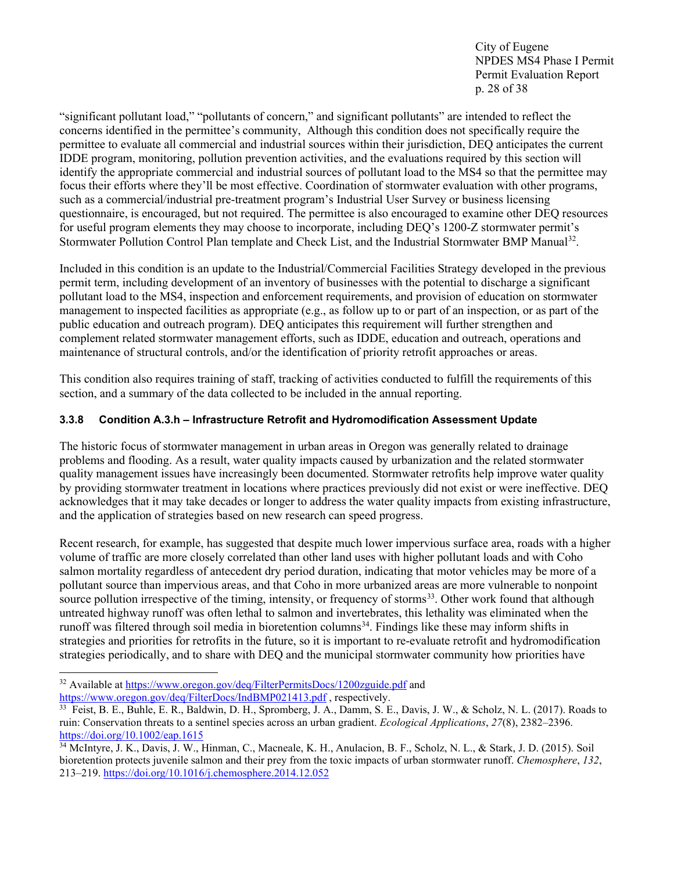City of Eugene NPDES MS4 Phase I Permit Permit Evaluation Report p. 28 of 38

"significant pollutant load," "pollutants of concern," and significant pollutants" are intended to reflect the concerns identified in the permittee's community, Although this condition does not specifically require the permittee to evaluate all commercial and industrial sources within their jurisdiction, DEQ anticipates the current IDDE program, monitoring, pollution prevention activities, and the evaluations required by this section will identify the appropriate commercial and industrial sources of pollutant load to the MS4 so that the permittee may focus their efforts where they'll be most effective. Coordination of stormwater evaluation with other programs, such as a commercial/industrial pre-treatment program's Industrial User Survey or business licensing questionnaire, is encouraged, but not required. The permittee is also encouraged to examine other DEQ resources for useful program elements they may choose to incorporate, including DEQ's 1200-Z stormwater permit's Stormwater Pollution Control Plan template and Check List, and the Industrial Stormwater BMP Manual<sup>32</sup>.

Included in this condition is an update to the Industrial/Commercial Facilities Strategy developed in the previous permit term, including development of an inventory of businesses with the potential to discharge a significant pollutant load to the MS4, inspection and enforcement requirements, and provision of education on stormwater management to inspected facilities as appropriate (e.g., as follow up to or part of an inspection, or as part of the public education and outreach program). DEQ anticipates this requirement will further strengthen and complement related stormwater management efforts, such as IDDE, education and outreach, operations and maintenance of structural controls, and/or the identification of priority retrofit approaches or areas.

This condition also requires training of staff, tracking of activities conducted to fulfill the requirements of this section, and a summary of the data collected to be included in the annual reporting.

#### <span id="page-27-0"></span>**3.3.8 Condition A.3.h – Infrastructure Retrofit and Hydromodification Assessment Update**

The historic focus of stormwater management in urban areas in Oregon was generally related to drainage problems and flooding. As a result, water quality impacts caused by urbanization and the related stormwater quality management issues have increasingly been documented. Stormwater retrofits help improve water quality by providing stormwater treatment in locations where practices previously did not exist or were ineffective. DEQ acknowledges that it may take decades or longer to address the water quality impacts from existing infrastructure, and the application of strategies based on new research can speed progress.

Recent research, for example, has suggested that despite much lower impervious surface area, roads with a higher volume of traffic are more closely correlated than other land uses with higher pollutant loads and with Coho salmon mortality regardless of antecedent dry period duration, indicating that motor vehicles may be more of a pollutant source than impervious areas, and that Coho in more urbanized areas are more vulnerable to nonpoint source pollution irrespective of the timing, intensity, or frequency of storms<sup>[33](#page-27-2)</sup>. Other work found that although untreated highway runoff was often lethal to salmon and invertebrates, this lethality was eliminated when the runoff was filtered through soil media in bioretention columns<sup>34</sup>. Findings like these may inform shifts in strategies and priorities for retrofits in the future, so it is important to re-evaluate retrofit and hydromodification strategies periodically, and to share with DEQ and the municipal stormwater community how priorities have

<span id="page-27-1"></span><sup>32</sup> Available at<https://www.oregon.gov/deq/FilterPermitsDocs/1200zguide.pdf> and <https://www.oregon.gov/deq/FilterDocs/IndBMP021413.pdf> , respectively.

<span id="page-27-2"></span><sup>33</sup> Feist, B. E., Buhle, E. R., Baldwin, D. H., Spromberg, J. A., Damm, S. E., Davis, J. W., & Scholz, N. L. (2017). Roads to ruin: Conservation threats to a sentinel species across an urban gradient. *Ecological Applications*, *27*(8), 2382–2396. <https://doi.org/10.1002/eap.1615>

<span id="page-27-3"></span><sup>34</sup> McIntyre, J. K., Davis, J. W., Hinman, C., Macneale, K. H., Anulacion, B. F., Scholz, N. L., & Stark, J. D. (2015). Soil bioretention protects juvenile salmon and their prey from the toxic impacts of urban stormwater runoff. *Chemosphere*, *132*, 213–219.<https://doi.org/10.1016/j.chemosphere.2014.12.052>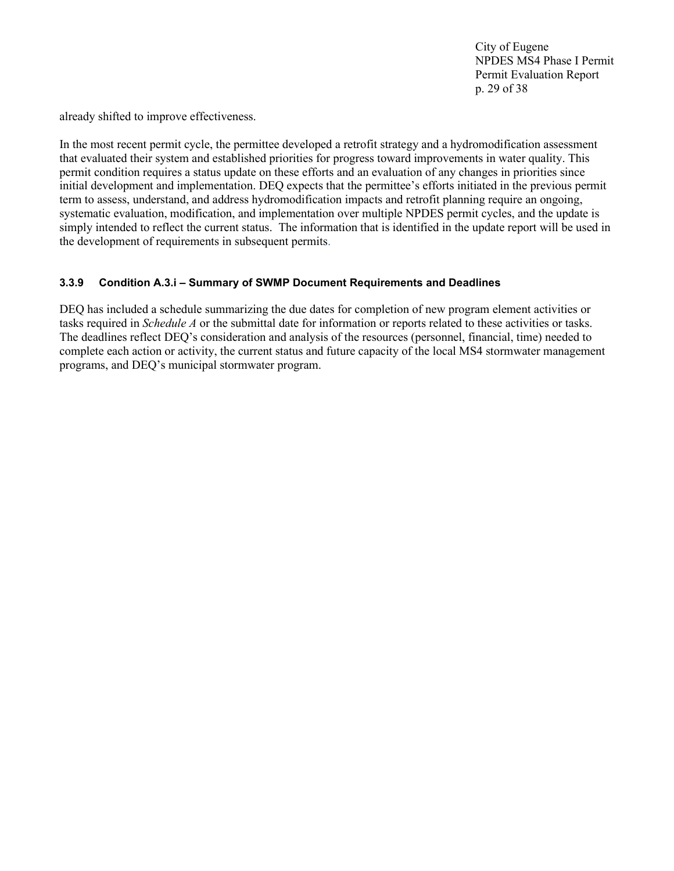City of Eugene NPDES MS4 Phase I Permit Permit Evaluation Report p. 29 of 38

already shifted to improve effectiveness.

In the most recent permit cycle, the permittee developed a retrofit strategy and a hydromodification assessment that evaluated their system and established priorities for progress toward improvements in water quality. This permit condition requires a status update on these efforts and an evaluation of any changes in priorities since initial development and implementation. DEQ expects that the permittee's efforts initiated in the previous permit term to assess, understand, and address hydromodification impacts and retrofit planning require an ongoing, systematic evaluation, modification, and implementation over multiple NPDES permit cycles, and the update is simply intended to reflect the current status. The information that is identified in the update report will be used in the development of requirements in subsequent permits.

#### <span id="page-28-0"></span>**3.3.9 Condition A.3.i – Summary of SWMP Document Requirements and Deadlines**

DEQ has included a schedule summarizing the due dates for completion of new program element activities or tasks required in *Schedule A* or the submittal date for information or reports related to these activities or tasks. The deadlines reflect DEQ's consideration and analysis of the resources (personnel, financial, time) needed to complete each action or activity, the current status and future capacity of the local MS4 stormwater management programs, and DEQ's municipal stormwater program.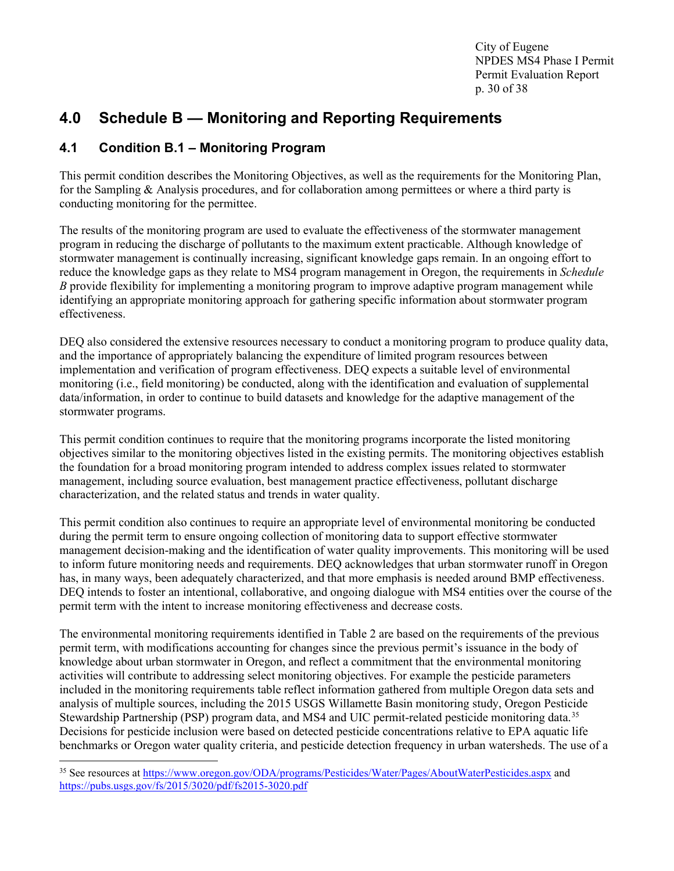City of Eugene NPDES MS4 Phase I Permit Permit Evaluation Report p. 30 of 38

## <span id="page-29-0"></span>**4.0 Schedule B — Monitoring and Reporting Requirements**

## <span id="page-29-1"></span>**4.1 Condition B.1 – Monitoring Program**

This permit condition describes the Monitoring Objectives, as well as the requirements for the Monitoring Plan, for the Sampling & Analysis procedures, and for collaboration among permittees or where a third party is conducting monitoring for the permittee.

The results of the monitoring program are used to evaluate the effectiveness of the stormwater management program in reducing the discharge of pollutants to the maximum extent practicable. Although knowledge of stormwater management is continually increasing, significant knowledge gaps remain. In an ongoing effort to reduce the knowledge gaps as they relate to MS4 program management in Oregon, the requirements in *Schedule B* provide flexibility for implementing a monitoring program to improve adaptive program management while identifying an appropriate monitoring approach for gathering specific information about stormwater program effectiveness.

DEQ also considered the extensive resources necessary to conduct a monitoring program to produce quality data, and the importance of appropriately balancing the expenditure of limited program resources between implementation and verification of program effectiveness. DEQ expects a suitable level of environmental monitoring (i.e., field monitoring) be conducted, along with the identification and evaluation of supplemental data/information, in order to continue to build datasets and knowledge for the adaptive management of the stormwater programs.

This permit condition continues to require that the monitoring programs incorporate the listed monitoring objectives similar to the monitoring objectives listed in the existing permits. The monitoring objectives establish the foundation for a broad monitoring program intended to address complex issues related to stormwater management, including source evaluation, best management practice effectiveness, pollutant discharge characterization, and the related status and trends in water quality.

This permit condition also continues to require an appropriate level of environmental monitoring be conducted during the permit term to ensure ongoing collection of monitoring data to support effective stormwater management decision-making and the identification of water quality improvements. This monitoring will be used to inform future monitoring needs and requirements. DEQ acknowledges that urban stormwater runoff in Oregon has, in many ways, been adequately characterized, and that more emphasis is needed around BMP effectiveness. DEQ intends to foster an intentional, collaborative, and ongoing dialogue with MS4 entities over the course of the permit term with the intent to increase monitoring effectiveness and decrease costs.

The environmental monitoring requirements identified in Table 2 are based on the requirements of the previous permit term, with modifications accounting for changes since the previous permit's issuance in the body of knowledge about urban stormwater in Oregon, and reflect a commitment that the environmental monitoring activities will contribute to addressing select monitoring objectives. For example the pesticide parameters included in the monitoring requirements table reflect information gathered from multiple Oregon data sets and analysis of multiple sources, including the 2015 USGS Willamette Basin monitoring study, Oregon Pesticide Stewardship Partnership (PSP) program data, and MS4 and UIC permit-related pesticide monitoring data[.35](#page-29-2) Decisions for pesticide inclusion were based on detected pesticide concentrations relative to EPA aquatic life benchmarks or Oregon water quality criteria, and pesticide detection frequency in urban watersheds. The use of a

<span id="page-29-2"></span><sup>&</sup>lt;sup>35</sup> See resources at<https://www.oregon.gov/ODA/programs/Pesticides/Water/Pages/AboutWaterPesticides.aspx> and <https://pubs.usgs.gov/fs/2015/3020/pdf/fs2015-3020.pdf>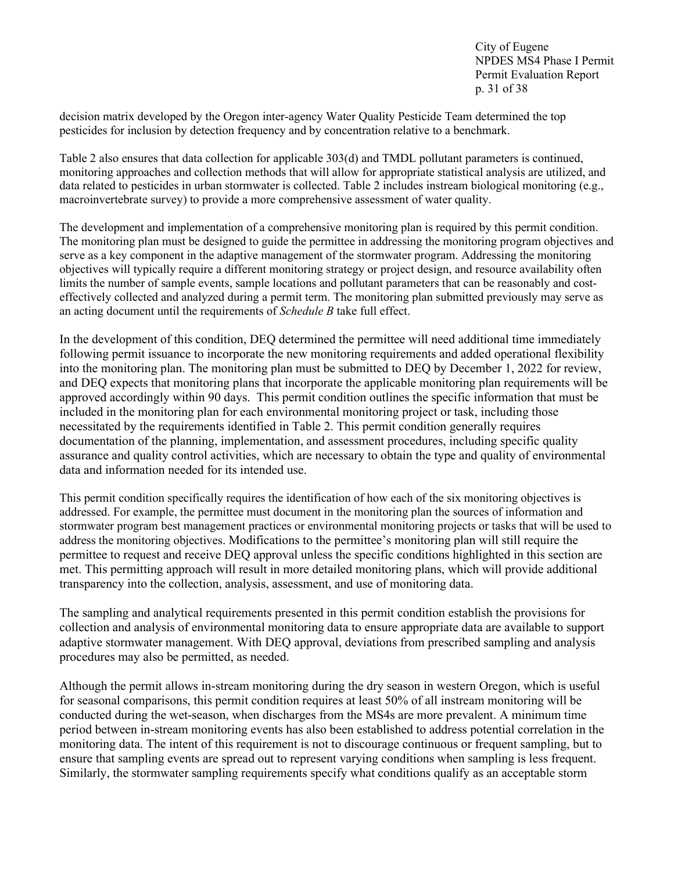City of Eugene NPDES MS4 Phase I Permit Permit Evaluation Report p. 31 of 38

decision matrix developed by the Oregon inter-agency Water Quality Pesticide Team determined the top pesticides for inclusion by detection frequency and by concentration relative to a benchmark.

Table 2 also ensures that data collection for applicable 303(d) and TMDL pollutant parameters is continued, monitoring approaches and collection methods that will allow for appropriate statistical analysis are utilized, and data related to pesticides in urban stormwater is collected. Table 2 includes instream biological monitoring (e.g., macroinvertebrate survey) to provide a more comprehensive assessment of water quality.

The development and implementation of a comprehensive monitoring plan is required by this permit condition. The monitoring plan must be designed to guide the permittee in addressing the monitoring program objectives and serve as a key component in the adaptive management of the stormwater program. Addressing the monitoring objectives will typically require a different monitoring strategy or project design, and resource availability often limits the number of sample events, sample locations and pollutant parameters that can be reasonably and costeffectively collected and analyzed during a permit term. The monitoring plan submitted previously may serve as an acting document until the requirements of *Schedule B* take full effect.

In the development of this condition, DEQ determined the permittee will need additional time immediately following permit issuance to incorporate the new monitoring requirements and added operational flexibility into the monitoring plan. The monitoring plan must be submitted to DEQ by December 1, 2022 for review, and DEQ expects that monitoring plans that incorporate the applicable monitoring plan requirements will be approved accordingly within 90 days. This permit condition outlines the specific information that must be included in the monitoring plan for each environmental monitoring project or task, including those necessitated by the requirements identified in Table 2. This permit condition generally requires documentation of the planning, implementation, and assessment procedures, including specific quality assurance and quality control activities, which are necessary to obtain the type and quality of environmental data and information needed for its intended use.

This permit condition specifically requires the identification of how each of the six monitoring objectives is addressed. For example, the permittee must document in the monitoring plan the sources of information and stormwater program best management practices or environmental monitoring projects or tasks that will be used to address the monitoring objectives. Modifications to the permittee's monitoring plan will still require the permittee to request and receive DEQ approval unless the specific conditions highlighted in this section are met. This permitting approach will result in more detailed monitoring plans, which will provide additional transparency into the collection, analysis, assessment, and use of monitoring data.

The sampling and analytical requirements presented in this permit condition establish the provisions for collection and analysis of environmental monitoring data to ensure appropriate data are available to support adaptive stormwater management. With DEQ approval, deviations from prescribed sampling and analysis procedures may also be permitted, as needed.

Although the permit allows in-stream monitoring during the dry season in western Oregon, which is useful for seasonal comparisons, this permit condition requires at least 50% of all instream monitoring will be conducted during the wet-season, when discharges from the MS4s are more prevalent. A minimum time period between in-stream monitoring events has also been established to address potential correlation in the monitoring data. The intent of this requirement is not to discourage continuous or frequent sampling, but to ensure that sampling events are spread out to represent varying conditions when sampling is less frequent. Similarly, the stormwater sampling requirements specify what conditions qualify as an acceptable storm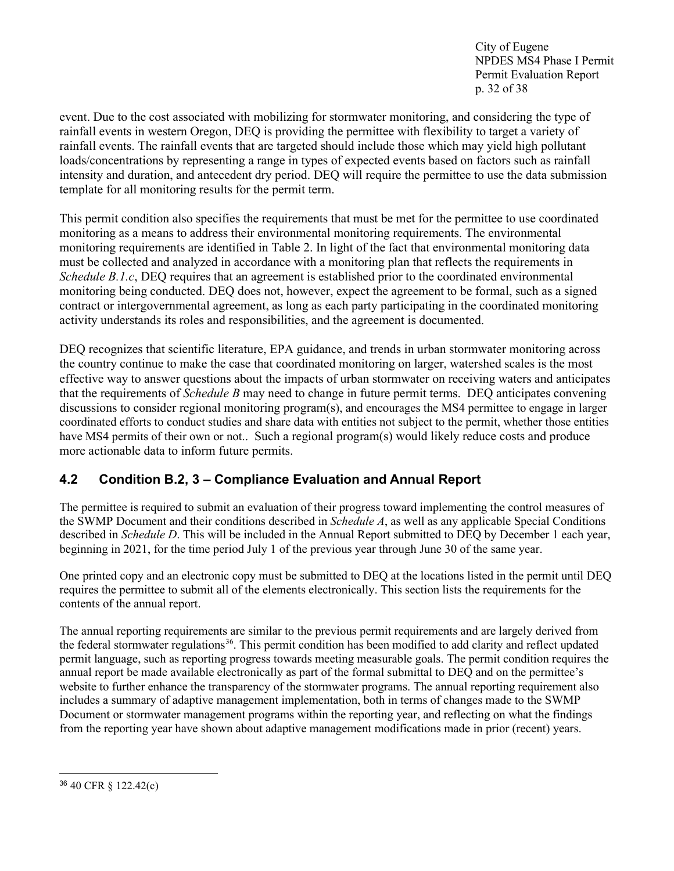City of Eugene NPDES MS4 Phase I Permit Permit Evaluation Report p. 32 of 38

event. Due to the cost associated with mobilizing for stormwater monitoring, and considering the type of rainfall events in western Oregon, DEQ is providing the permittee with flexibility to target a variety of rainfall events. The rainfall events that are targeted should include those which may yield high pollutant loads/concentrations by representing a range in types of expected events based on factors such as rainfall intensity and duration, and antecedent dry period. DEQ will require the permittee to use the data submission template for all monitoring results for the permit term.

This permit condition also specifies the requirements that must be met for the permittee to use coordinated monitoring as a means to address their environmental monitoring requirements. The environmental monitoring requirements are identified in Table 2. In light of the fact that environmental monitoring data must be collected and analyzed in accordance with a monitoring plan that reflects the requirements in *Schedule B.1.c*, DEQ requires that an agreement is established prior to the coordinated environmental monitoring being conducted. DEQ does not, however, expect the agreement to be formal, such as a signed contract or intergovernmental agreement, as long as each party participating in the coordinated monitoring activity understands its roles and responsibilities, and the agreement is documented.

DEQ recognizes that scientific literature, EPA guidance, and trends in urban stormwater monitoring across the country continue to make the case that coordinated monitoring on larger, watershed scales is the most effective way to answer questions about the impacts of urban stormwater on receiving waters and anticipates that the requirements of *Schedule B* may need to change in future permit terms. DEQ anticipates convening discussions to consider regional monitoring program(s), and encourages the MS4 permittee to engage in larger coordinated efforts to conduct studies and share data with entities not subject to the permit, whether those entities have MS4 permits of their own or not.. Such a regional program(s) would likely reduce costs and produce more actionable data to inform future permits.

## <span id="page-31-0"></span>**4.2 Condition B.2, 3 – Compliance Evaluation and Annual Report**

The permittee is required to submit an evaluation of their progress toward implementing the control measures of the SWMP Document and their conditions described in *Schedule A*, as well as any applicable Special Conditions described in *Schedule D*. This will be included in the Annual Report submitted to DEQ by December 1 each year, beginning in 2021, for the time period July 1 of the previous year through June 30 of the same year.

One printed copy and an electronic copy must be submitted to DEQ at the locations listed in the permit until DEQ requires the permittee to submit all of the elements electronically. This section lists the requirements for the contents of the annual report.

The annual reporting requirements are similar to the previous permit requirements and are largely derived from the federal stormwater regulations<sup>[36](#page-31-1)</sup>. This permit condition has been modified to add clarity and reflect updated permit language, such as reporting progress towards meeting measurable goals. The permit condition requires the annual report be made available electronically as part of the formal submittal to DEQ and on the permittee's website to further enhance the transparency of the stormwater programs. The annual reporting requirement also includes a summary of adaptive management implementation, both in terms of changes made to the SWMP Document or stormwater management programs within the reporting year, and reflecting on what the findings from the reporting year have shown about adaptive management modifications made in prior (recent) years.

<span id="page-31-1"></span><sup>36</sup> 40 CFR § 122.42(c)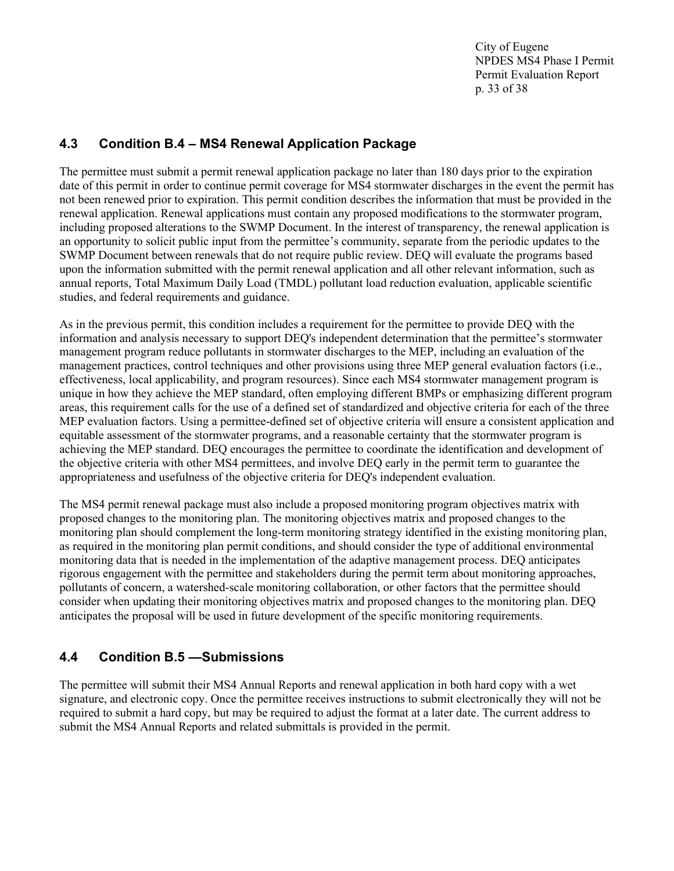City of Eugene NPDES MS4 Phase I Permit Permit Evaluation Report p. 33 of 38

### <span id="page-32-0"></span>**4.3 Condition B.4 – MS4 Renewal Application Package**

The permittee must submit a permit renewal application package no later than 180 days prior to the expiration date of this permit in order to continue permit coverage for MS4 stormwater discharges in the event the permit has not been renewed prior to expiration. This permit condition describes the information that must be provided in the renewal application. Renewal applications must contain any proposed modifications to the stormwater program, including proposed alterations to the SWMP Document. In the interest of transparency, the renewal application is an opportunity to solicit public input from the permittee's community, separate from the periodic updates to the SWMP Document between renewals that do not require public review. DEQ will evaluate the programs based upon the information submitted with the permit renewal application and all other relevant information, such as annual reports, Total Maximum Daily Load (TMDL) pollutant load reduction evaluation, applicable scientific studies, and federal requirements and guidance.

As in the previous permit, this condition includes a requirement for the permittee to provide DEQ with the information and analysis necessary to support DEQ's independent determination that the permittee's stormwater management program reduce pollutants in stormwater discharges to the MEP, including an evaluation of the management practices, control techniques and other provisions using three MEP general evaluation factors (i.e., effectiveness, local applicability, and program resources). Since each MS4 stormwater management program is unique in how they achieve the MEP standard, often employing different BMPs or emphasizing different program areas, this requirement calls for the use of a defined set of standardized and objective criteria for each of the three MEP evaluation factors. Using a permittee-defined set of objective criteria will ensure a consistent application and equitable assessment of the stormwater programs, and a reasonable certainty that the stormwater program is achieving the MEP standard. DEQ encourages the permittee to coordinate the identification and development of the objective criteria with other MS4 permittees, and involve DEQ early in the permit term to guarantee the appropriateness and usefulness of the objective criteria for DEQ's independent evaluation.

The MS4 permit renewal package must also include a proposed monitoring program objectives matrix with proposed changes to the monitoring plan. The monitoring objectives matrix and proposed changes to the monitoring plan should complement the long-term monitoring strategy identified in the existing monitoring plan, as required in the monitoring plan permit conditions, and should consider the type of additional environmental monitoring data that is needed in the implementation of the adaptive management process. DEQ anticipates rigorous engagement with the permittee and stakeholders during the permit term about monitoring approaches, pollutants of concern, a watershed-scale monitoring collaboration, or other factors that the permittee should consider when updating their monitoring objectives matrix and proposed changes to the monitoring plan. DEQ anticipates the proposal will be used in future development of the specific monitoring requirements.

## <span id="page-32-1"></span>**4.4 Condition B.5 —Submissions**

The permittee will submit their MS4 Annual Reports and renewal application in both hard copy with a wet signature, and electronic copy. Once the permittee receives instructions to submit electronically they will not be required to submit a hard copy, but may be required to adjust the format at a later date. The current address to submit the MS4 Annual Reports and related submittals is provided in the permit.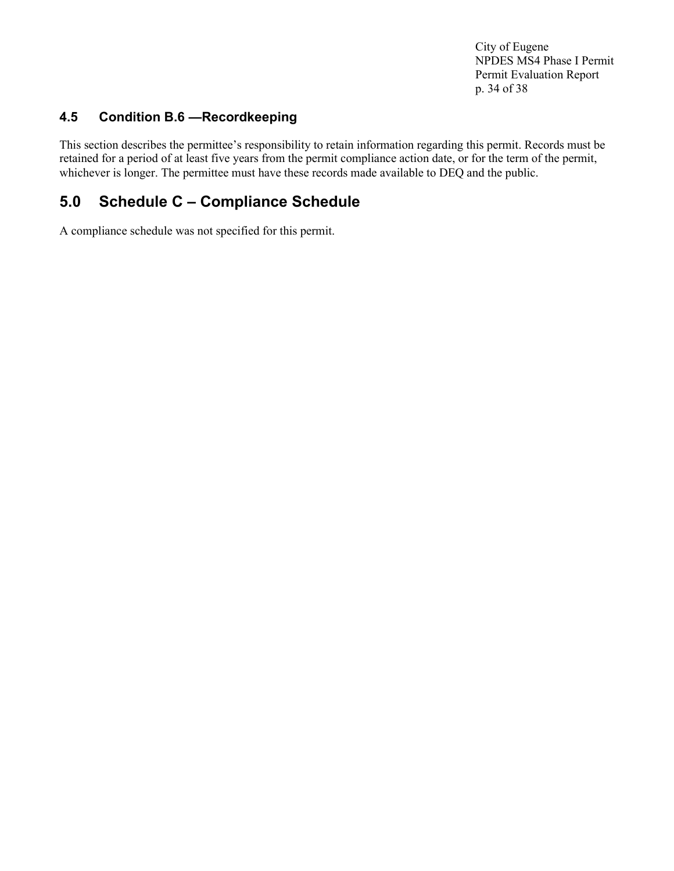City of Eugene NPDES MS4 Phase I Permit Permit Evaluation Report p. 34 of 38

## <span id="page-33-0"></span>**4.5 Condition B.6 —Recordkeeping**

This section describes the permittee's responsibility to retain information regarding this permit. Records must be retained for a period of at least five years from the permit compliance action date, or for the term of the permit, whichever is longer. The permittee must have these records made available to DEQ and the public.

## <span id="page-33-1"></span>**5.0 Schedule C – Compliance Schedule**

A compliance schedule was not specified for this permit.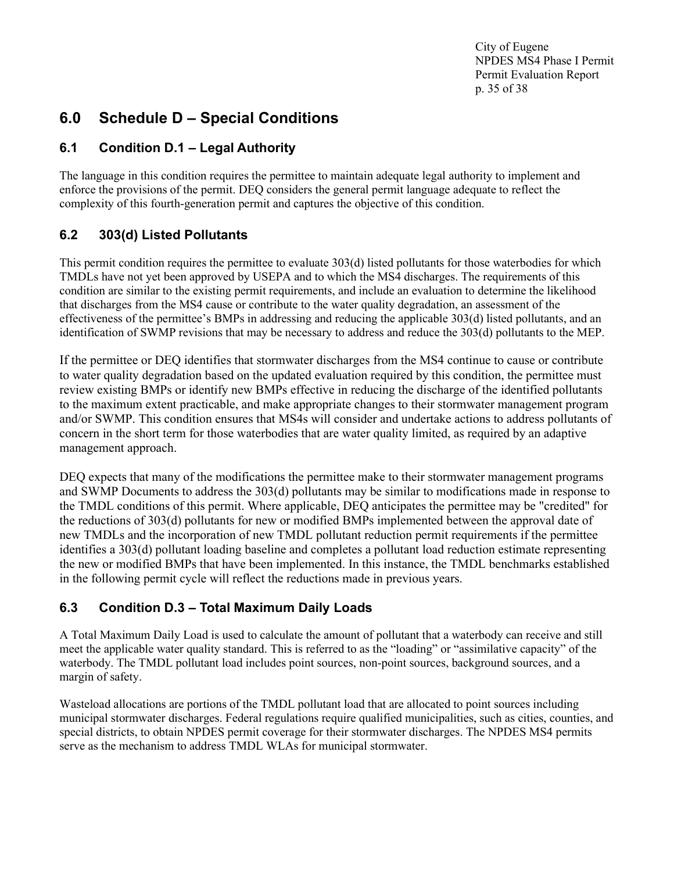City of Eugene NPDES MS4 Phase I Permit Permit Evaluation Report p. 35 of 38

## <span id="page-34-0"></span>**6.0 Schedule D – Special Conditions**

## <span id="page-34-1"></span>**6.1 Condition D.1 – Legal Authority**

The language in this condition requires the permittee to maintain adequate legal authority to implement and enforce the provisions of the permit. DEQ considers the general permit language adequate to reflect the complexity of this fourth-generation permit and captures the objective of this condition.

## <span id="page-34-2"></span>**6.2 303(d) Listed Pollutants**

This permit condition requires the permittee to evaluate 303(d) listed pollutants for those waterbodies for which TMDLs have not yet been approved by USEPA and to which the MS4 discharges. The requirements of this condition are similar to the existing permit requirements, and include an evaluation to determine the likelihood that discharges from the MS4 cause or contribute to the water quality degradation, an assessment of the effectiveness of the permittee's BMPs in addressing and reducing the applicable 303(d) listed pollutants, and an identification of SWMP revisions that may be necessary to address and reduce the 303(d) pollutants to the MEP.

If the permittee or DEQ identifies that stormwater discharges from the MS4 continue to cause or contribute to water quality degradation based on the updated evaluation required by this condition, the permittee must review existing BMPs or identify new BMPs effective in reducing the discharge of the identified pollutants to the maximum extent practicable, and make appropriate changes to their stormwater management program and/or SWMP. This condition ensures that MS4s will consider and undertake actions to address pollutants of concern in the short term for those waterbodies that are water quality limited, as required by an adaptive management approach.

DEQ expects that many of the modifications the permittee make to their stormwater management programs and SWMP Documents to address the 303(d) pollutants may be similar to modifications made in response to the TMDL conditions of this permit. Where applicable, DEQ anticipates the permittee may be "credited" for the reductions of 303(d) pollutants for new or modified BMPs implemented between the approval date of new TMDLs and the incorporation of new TMDL pollutant reduction permit requirements if the permittee identifies a 303(d) pollutant loading baseline and completes a pollutant load reduction estimate representing the new or modified BMPs that have been implemented. In this instance, the TMDL benchmarks established in the following permit cycle will reflect the reductions made in previous years.

## <span id="page-34-3"></span>**6.3 Condition D.3 – Total Maximum Daily Loads**

A Total Maximum Daily Load is used to calculate the amount of pollutant that a waterbody can receive and still meet the applicable water quality standard. This is referred to as the "loading" or "assimilative capacity" of the waterbody. The TMDL pollutant load includes point sources, non-point sources, background sources, and a margin of safety.

Wasteload allocations are portions of the TMDL pollutant load that are allocated to point sources including municipal stormwater discharges. Federal regulations require qualified municipalities, such as cities, counties, and special districts, to obtain NPDES permit coverage for their stormwater discharges. The NPDES MS4 permits serve as the mechanism to address TMDL WLAs for municipal stormwater.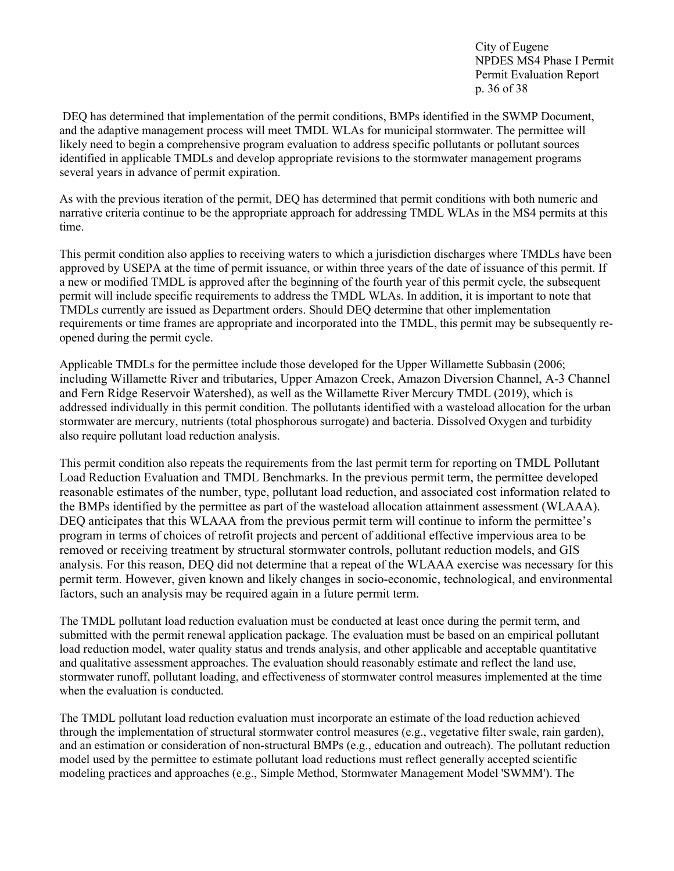City of Eugene NPDES MS4 Phase I Permit Permit Evaluation Report p. 36 of 38

DEQ has determined that implementation of the permit conditions, BMPs identified in the SWMP Document, and the adaptive management process will meet TMDL WLAs for municipal stormwater. The permittee will likely need to begin a comprehensive program evaluation to address specific pollutants or pollutant sources identified in applicable TMDLs and develop appropriate revisions to the stormwater management programs several years in advance of permit expiration.

As with the previous iteration of the permit, DEQ has determined that permit conditions with both numeric and narrative criteria continue to be the appropriate approach for addressing TMDL WLAs in the MS4 permits at this time.

This permit condition also applies to receiving waters to which a jurisdiction discharges where TMDLs have been approved by USEPA at the time of permit issuance, or within three years of the date of issuance of this permit. If a new or modified TMDL is approved after the beginning of the fourth year of this permit cycle, the subsequent permit will include specific requirements to address the TMDL WLAs. In addition, it is important to note that TMDLs currently are issued as Department orders. Should DEQ determine that other implementation requirements or time frames are appropriate and incorporated into the TMDL, this permit may be subsequently reopened during the permit cycle.

Applicable TMDLs for the permittee include those developed for the Upper Willamette Subbasin (2006; including Willamette River and tributaries, Upper Amazon Creek, Amazon Diversion Channel, A-3 Channel and Fern Ridge Reservoir Watershed), as well as the Willamette River Mercury TMDL (2019), which is addressed individually in this permit condition. The pollutants identified with a wasteload allocation for the urban stormwater are mercury, nutrients (total phosphorous surrogate) and bacteria. Dissolved Oxygen and turbidity also require pollutant load reduction analysis.

This permit condition also repeats the requirements from the last permit term for reporting on TMDL Pollutant Load Reduction Evaluation and TMDL Benchmarks. In the previous permit term, the permittee developed reasonable estimates of the number, type, pollutant load reduction, and associated cost information related to the BMPs identified by the permittee as part of the wasteload allocation attainment assessment (WLAAA). DEQ anticipates that this WLAAA from the previous permit term will continue to inform the permittee's program in terms of choices of retrofit projects and percent of additional effective impervious area to be removed or receiving treatment by structural stormwater controls, pollutant reduction models, and GIS analysis. For this reason, DEQ did not determine that a repeat of the WLAAA exercise was necessary for this permit term. However, given known and likely changes in socio-economic, technological, and environmental factors, such an analysis may be required again in a future permit term.

The TMDL pollutant load reduction evaluation must be conducted at least once during the permit term, and submitted with the permit renewal application package. The evaluation must be based on an empirical pollutant load reduction model, water quality status and trends analysis, and other applicable and acceptable quantitative and qualitative assessment approaches. The evaluation should reasonably estimate and reflect the land use, stormwater runoff, pollutant loading, and effectiveness of stormwater control measures implemented at the time when the evaluation is conducted.

The TMDL pollutant load reduction evaluation must incorporate an estimate of the load reduction achieved through the implementation of structural stormwater control measures (e.g., vegetative filter swale, rain garden), and an estimation or consideration of non-structural BMPs (e.g., education and outreach). The pollutant reduction model used by the permittee to estimate pollutant load reductions must reflect generally accepted scientific modeling practices and approaches (e.g., Simple Method, Stormwater Management Model 'SWMM'). The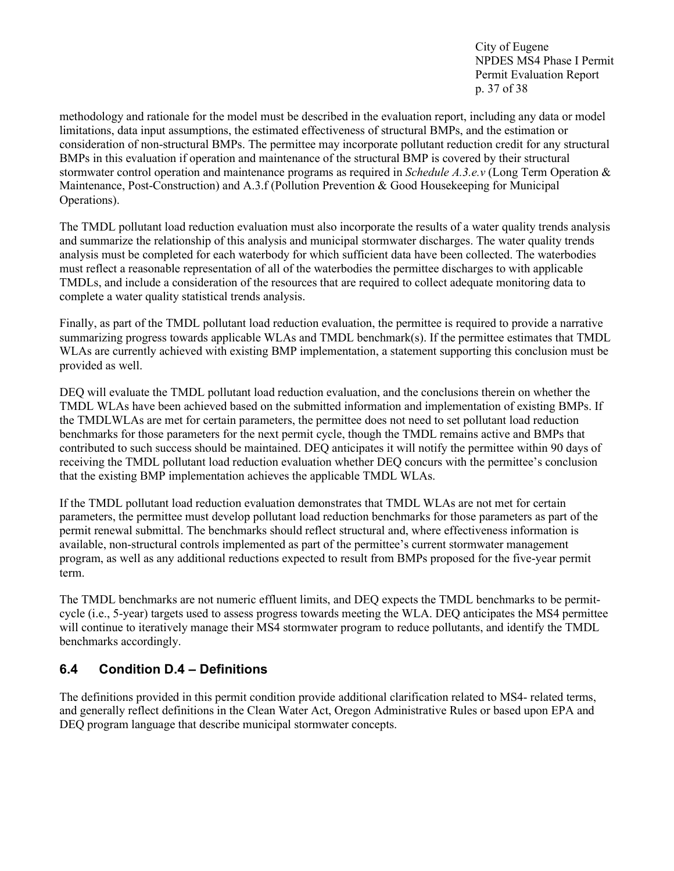City of Eugene NPDES MS4 Phase I Permit Permit Evaluation Report p. 37 of 38

methodology and rationale for the model must be described in the evaluation report, including any data or model limitations, data input assumptions, the estimated effectiveness of structural BMPs, and the estimation or consideration of non-structural BMPs. The permittee may incorporate pollutant reduction credit for any structural BMPs in this evaluation if operation and maintenance of the structural BMP is covered by their structural stormwater control operation and maintenance programs as required in *Schedule A.3.e.v* (Long Term Operation & Maintenance, Post-Construction) and A.3.f (Pollution Prevention & Good Housekeeping for Municipal Operations).

The TMDL pollutant load reduction evaluation must also incorporate the results of a water quality trends analysis and summarize the relationship of this analysis and municipal stormwater discharges. The water quality trends analysis must be completed for each waterbody for which sufficient data have been collected. The waterbodies must reflect a reasonable representation of all of the waterbodies the permittee discharges to with applicable TMDLs, and include a consideration of the resources that are required to collect adequate monitoring data to complete a water quality statistical trends analysis.

Finally, as part of the TMDL pollutant load reduction evaluation, the permittee is required to provide a narrative summarizing progress towards applicable WLAs and TMDL benchmark(s). If the permittee estimates that TMDL WLAs are currently achieved with existing BMP implementation, a statement supporting this conclusion must be provided as well.

DEQ will evaluate the TMDL pollutant load reduction evaluation, and the conclusions therein on whether the TMDL WLAs have been achieved based on the submitted information and implementation of existing BMPs. If the TMDLWLAs are met for certain parameters, the permittee does not need to set pollutant load reduction benchmarks for those parameters for the next permit cycle, though the TMDL remains active and BMPs that contributed to such success should be maintained. DEQ anticipates it will notify the permittee within 90 days of receiving the TMDL pollutant load reduction evaluation whether DEQ concurs with the permittee's conclusion that the existing BMP implementation achieves the applicable TMDL WLAs.

If the TMDL pollutant load reduction evaluation demonstrates that TMDL WLAs are not met for certain parameters, the permittee must develop pollutant load reduction benchmarks for those parameters as part of the permit renewal submittal. The benchmarks should reflect structural and, where effectiveness information is available, non-structural controls implemented as part of the permittee's current stormwater management program, as well as any additional reductions expected to result from BMPs proposed for the five-year permit term.

The TMDL benchmarks are not numeric effluent limits, and DEQ expects the TMDL benchmarks to be permitcycle (i.e., 5-year) targets used to assess progress towards meeting the WLA. DEQ anticipates the MS4 permittee will continue to iteratively manage their MS4 stormwater program to reduce pollutants, and identify the TMDL benchmarks accordingly.

## <span id="page-36-0"></span>**6.4 Condition D.4 – Definitions**

The definitions provided in this permit condition provide additional clarification related to MS4- related terms, and generally reflect definitions in the Clean Water Act, Oregon Administrative Rules or based upon EPA and DEQ program language that describe municipal stormwater concepts.